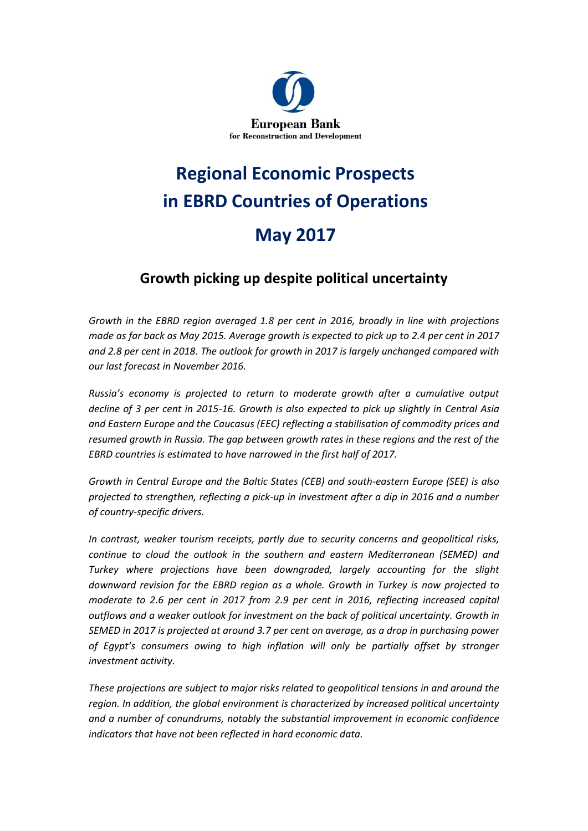

# **Regional Economic Prospects in EBRD Countries of Operations May 2017**

## **Growth picking up despite political uncertainty**

*Growth in the EBRD region averaged 1.8 per cent in 2016, broadly in line with projections made as far back as May 2015. Average growth is expected to pick up to 2.4 per cent in 2017 and 2.8 per cent in 2018. The outlook for growth in 2017 is largely unchanged compared with our last forecast in November 2016.*

*Russia's economy is projected to return to moderate growth after a cumulative output decline of 3 per cent in 2015-16. Growth is also expected to pick up slightly in Central Asia and Eastern Europe and the Caucasus (EEC) reflecting a stabilisation of commodity prices and*  resumed growth in Russia. The gap between growth rates in these regions and the rest of the *EBRD countries is estimated to have narrowed in the first half of 2017.* 

*Growth in Central Europe and the Baltic States (CEB) and south-eastern Europe (SEE) is also projected to strengthen, reflecting a pick-up in investment after a dip in 2016 and a number of country-specific drivers.* 

*In contrast, weaker tourism receipts, partly due to security concerns and geopolitical risks, continue to cloud the outlook in the southern and eastern Mediterranean (SEMED) and Turkey where projections have been downgraded, largely accounting for the slight downward revision for the EBRD region as a whole. Growth in Turkey is now projected to moderate to 2.6 per cent in 2017 from 2.9 per cent in 2016, reflecting increased capital outflows and a weaker outlook for investment on the back of political uncertainty. Growth in SEMED in 2017 is projected at around 3.7 per cent on average, as a drop in purchasing power of Egypt's consumers owing to high inflation will only be partially offset by stronger investment activity.*

*These projections are subject to major risks related to geopolitical tensions in and around the region. In addition, the global environment is characterized by increased political uncertainty and a number of conundrums, notably the substantial improvement in economic confidence indicators that have not been reflected in hard economic data.*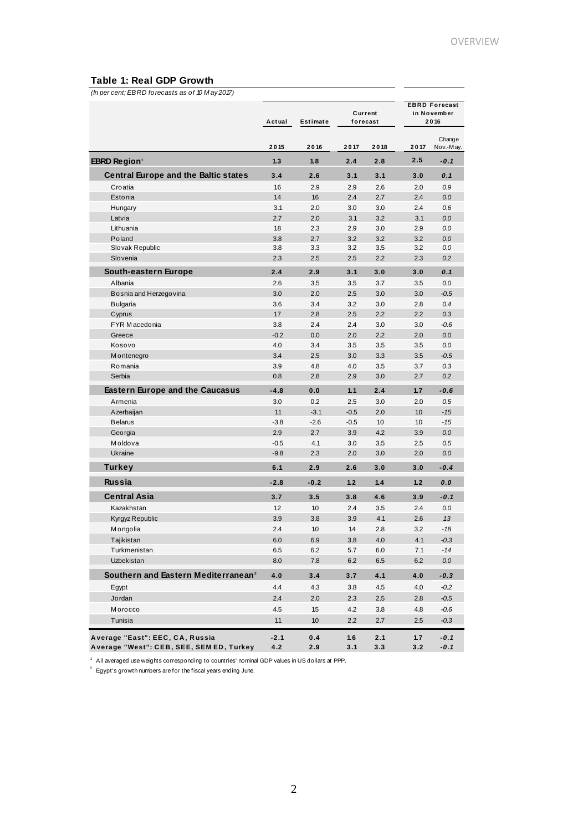#### **Table 1: Real GDP Growth**

| (In per cent; EBRD forecasts as of 10 May 2017) |                    |                  |                     |      |                                             |                     |
|-------------------------------------------------|--------------------|------------------|---------------------|------|---------------------------------------------|---------------------|
|                                                 | Actual<br>Estimate |                  | Current<br>forecast |      | <b>EBRD Forecast</b><br>in November<br>2016 |                     |
|                                                 | 2015               | 2016             | 2017                | 2018 | 2017                                        | Change<br>Nov.-May. |
| <b>EBRD Region</b> <sup>1</sup>                 | 1.3                | 1.8              | 2.4                 | 2.8  | 2.5                                         | $-0.1$              |
| <b>Central Europe and the Baltic states</b>     | 3.4                | 2.6              | 3.1                 | 3.1  | 3.0                                         | 0.1                 |
| Croatia                                         | 1.6                | 2.9              | 2.9                 | 2.6  | 2.0                                         | 0.9                 |
| Estonia                                         | 1.4                | 1.6              | 2.4                 | 2.7  | 2.4                                         | 0.0                 |
| Hungary                                         | 3.1                | 2.0              | 3.0                 | 3.0  | 2.4                                         | 0.6                 |
| Latvia                                          | 2.7                | 2.0              | 3.1                 | 3.2  | 3.1                                         | 0.0                 |
| Lithuania                                       | 1.8                | 2.3              | 2.9                 | 3.0  | 2.9                                         | 0.0                 |
| Poland                                          | 3.8                | 2.7              | 3.2                 | 3.2  | 3.2                                         | 0.0                 |
| Slovak Republic                                 | 3.8                | 3.3              | 3.2                 | 3.5  | 3.2                                         | 0.0                 |
| Slovenia                                        | 2.3                | 2.5              | 2.5                 | 2.2  | 2.3                                         | 0.2                 |
| South-eastern Europe                            | 2.4                | 2.9              | 3.1                 | 3.0  | 3.0                                         | 0.1                 |
| Albania                                         | 2.6                | 3.5              | 3.5                 | 3.7  | 3.5                                         | 0.0                 |
| Bosnia and Herzegovina                          | 3.0                | 2.0              | 2.5                 | 3.0  | 3.0                                         | $-0.5$              |
| <b>Bulgaria</b>                                 | 3.6                | 3.4              | 3.2                 | 3.0  | 2.8                                         | 0.4                 |
| Cyprus                                          | 1.7                | 2.8              | 2.5                 | 2.2  | 2.2                                         | 0.3                 |
| FYR Macedonia                                   | 3.8                | 2.4              | 2.4                 | 3.0  | 3.0                                         | $-0.6$              |
| Greece                                          | $-0.2$             | 0.0              | 2.0                 | 2.2  | 2.0                                         | 0.0                 |
| Kosovo                                          | 4.0                | 3.4              | 3.5                 | 3.5  | 3.5                                         | 0.0                 |
| M ontenegro                                     | 3.4                | 2.5              | 3.0                 | 3.3  | 3.5                                         | $-0.5$              |
| Romania                                         | 3.9                | 4.8              | 4.0                 | 3.5  | 3.7                                         | 0.3                 |
| Serbia                                          | 0.8                | 2.8              | 2.9                 | 3.0  | 2.7                                         | 0.2                 |
| <b>Eastern Europe and the Caucasus</b>          | $-4.8$             | 0.0              | 1.1                 | 2.4  | 1.7                                         | $-0.6$              |
| Armenia                                         | 3.0                | 0.2              | 2.5                 | 3.0  | 2.0                                         | 0.5                 |
| Azerbaijan                                      | 1.1                | $-3.1$           | $-0.5$              | 2.0  | 1.0                                         | $-1.5$              |
| <b>Belarus</b>                                  | $-3.8$             | $-2.6$           | $-0.5$              | 1.0  | 10                                          | $-1.5$              |
| Georgia                                         | 2.9                | 2.7              | 3.9                 | 4.2  | 3.9                                         | 0.0                 |
| Moldova                                         | $-0.5$             | 4.1              | 3.0                 | 3.5  | 2.5                                         | 0.5                 |
| Ukraine                                         | $-9.8$             | 2.3              | 2.0                 | 3.0  | 2.0                                         | 0.0                 |
| <b>Turkey</b>                                   | 6.1                | 2.9              | 2.6                 | 3.0  | 3.0                                         | $-0.4$              |
| <b>Russia</b>                                   | $-2.8$             | $-0.2$           | 1.2                 | 1.4  | 1.2                                         | 0.0                 |
|                                                 |                    |                  |                     |      |                                             |                     |
| Central Asia                                    | 3.7                | 3.5              | 3.8                 | 4.6  | 3.9                                         | $-0.1$              |
| Kazakhstan                                      | 1.2                | 1.0              | 2.4                 | 3.5  | 2.4                                         | 0.0                 |
| Kyrgyz Republic                                 | 3.9                | 3.8              | 3.9                 | 4.1  | 2.6                                         | 13                  |
| Mongolia                                        | 2.4                | $10$             | $1.4$               | 2.8  | 3.2                                         | $-18$               |
| Tajikistan                                      | 6.0                | 6.9              | 3.8                 | 4.0  | 4.1                                         | $-0.3$              |
| Turkmenistan                                    | 6.5                | 6.2              | 5.7                 | 6.0  | 7.1                                         | $-14$               |
| Uzbekistan                                      | 8.0                | 7.8              | 6.2                 | 6.5  | 6.2                                         | $0.0\,$             |
| Southern and Eastern Mediterranean <sup>2</sup> | 4.0                | 3.4              | 3.7                 | 4.1  | 4.0                                         | $-0.3$              |
| Egypt                                           | 4.4                | 4.3              | 3.8                 | 4.5  | 4.0                                         | $-0.2$              |
| Jordan                                          | $2.4$              | 2.0              | 2.3                 | 2.5  | 2.8                                         | $-0.5$              |
| Morocco                                         | 4.5                | 1.5              | 4.2                 | 3.8  | 4.8                                         | $-0.6$              |
| Tunisia                                         | 1.1                | 10 <sub>10</sub> | 2.2                 | 2.7  | 2.5                                         | $-0.3$              |
|                                                 |                    |                  |                     |      |                                             |                     |
| Average "East": EEC, CA, Russia                 | $-2.1$             | 0.4              | 1.6                 | 2.1  | 1.7                                         | $-0.1$              |
| Average "West": CEB, SEE, SEM ED, Turkey        | 4.2                | 2.9              | 3.1                 | 3.3  | 3.2                                         | $-0.1$              |

 $^1$  All averaged use weights corresponding to countries' nomina<br> $^2$  Egypt's growth numbers are for the fiscal years ending June. A **verage "West": CEB, SEE, SEM ED, Turkey 4.2 2.9**<br><sup>1</sup> All averaged use weights corresponding to countries' nominal GDP values in US dollars at PPP.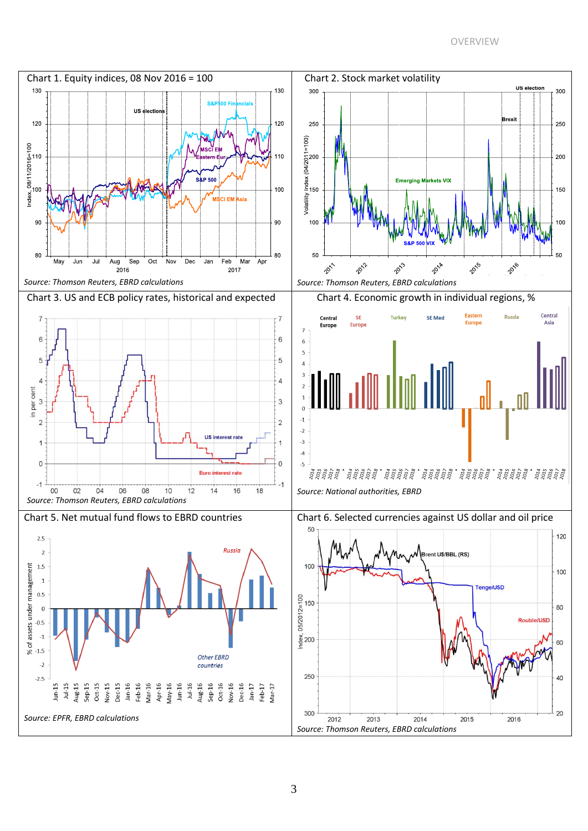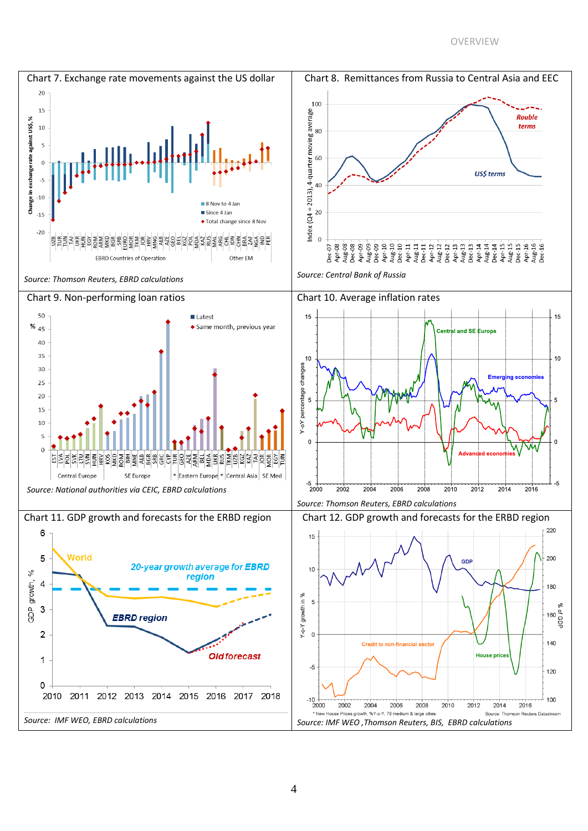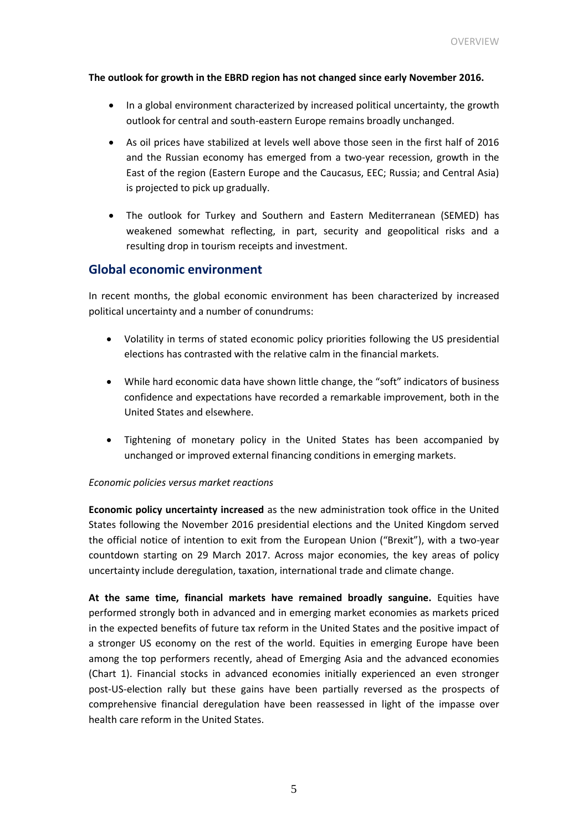#### **The outlook for growth in the EBRD region has not changed since early November 2016.**

- In a global environment characterized by increased political uncertainty, the growth outlook for central and south-eastern Europe remains broadly unchanged.
- As oil prices have stabilized at levels well above those seen in the first half of 2016 and the Russian economy has emerged from a two-year recession, growth in the East of the region (Eastern Europe and the Caucasus, EEC; Russia; and Central Asia) is projected to pick up gradually.
- The outlook for Turkey and Southern and Eastern Mediterranean (SEMED) has weakened somewhat reflecting, in part, security and geopolitical risks and a resulting drop in tourism receipts and investment.

#### **Global economic environment**

In recent months, the global economic environment has been characterized by increased political uncertainty and a number of conundrums:

- Volatility in terms of stated economic policy priorities following the US presidential elections has contrasted with the relative calm in the financial markets.
- While hard economic data have shown little change, the "soft" indicators of business confidence and expectations have recorded a remarkable improvement, both in the United States and elsewhere.
- Tightening of monetary policy in the United States has been accompanied by unchanged or improved external financing conditions in emerging markets.

#### *Economic policies versus market reactions*

**Economic policy uncertainty increased** as the new administration took office in the United States following the November 2016 presidential elections and the United Kingdom served the official notice of intention to exit from the European Union ("Brexit"), with a two-year countdown starting on 29 March 2017. Across major economies, the key areas of policy uncertainty include deregulation, taxation, international trade and climate change.

**At the same time, financial markets have remained broadly sanguine.** Equities have performed strongly both in advanced and in emerging market economies as markets priced in the expected benefits of future tax reform in the United States and the positive impact of a stronger US economy on the rest of the world. Equities in emerging Europe have been among the top performers recently, ahead of Emerging Asia and the advanced economies (Chart 1). Financial stocks in advanced economies initially experienced an even stronger post-US-election rally but these gains have been partially reversed as the prospects of comprehensive financial deregulation have been reassessed in light of the impasse over health care reform in the United States.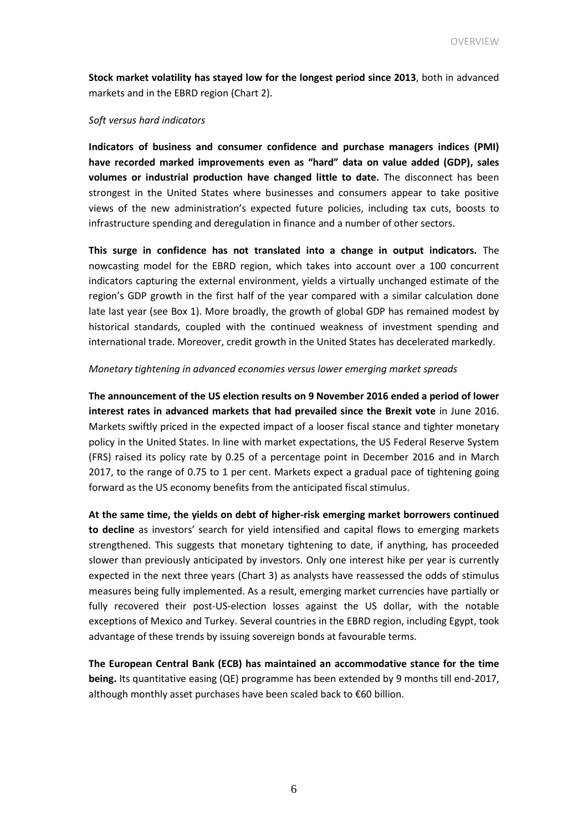**Stock market volatility has stayed low for the longest period since 2013**, both in advanced markets and in the EBRD region (Chart 2).

#### *Soft versus hard indicators*

**Indicators of business and consumer confidence and purchase managers indices (PMI) have recorded marked improvements even as "hard" data on value added (GDP), sales volumes or industrial production have changed little to date.** The disconnect has been strongest in the United States where businesses and consumers appear to take positive views of the new administration's expected future policies, including tax cuts, boosts to infrastructure spending and deregulation in finance and a number of other sectors.

**This surge in confidence has not translated into a change in output indicators.** The nowcasting model for the EBRD region, which takes into account over a 100 concurrent indicators capturing the external environment, yields a virtually unchanged estimate of the region's GDP growth in the first half of the year compared with a similar calculation done late last year (see Box 1). More broadly, the growth of global GDP has remained modest by historical standards, coupled with the continued weakness of investment spending and international trade. Moreover, credit growth in the United States has decelerated markedly.

#### *Monetary tightening in advanced economies versus lower emerging market spreads*

**The announcement of the US election results on 9 November 2016 ended a period of lower interest rates in advanced markets that had prevailed since the Brexit vote** in June 2016. Markets swiftly priced in the expected impact of a looser fiscal stance and tighter monetary policy in the United States. In line with market expectations, the US Federal Reserve System (FRS) raised its policy rate by 0.25 of a percentage point in December 2016 and in March 2017, to the range of 0.75 to 1 per cent. Markets expect a gradual pace of tightening going forward as the US economy benefits from the anticipated fiscal stimulus.

**At the same time, the yields on debt of higher-risk emerging market borrowers continued to decline** as investors' search for yield intensified and capital flows to emerging markets strengthened. This suggests that monetary tightening to date, if anything, has proceeded slower than previously anticipated by investors. Only one interest hike per year is currently expected in the next three years (Chart 3) as analysts have reassessed the odds of stimulus measures being fully implemented. As a result, emerging market currencies have partially or fully recovered their post-US-election losses against the US dollar, with the notable exceptions of Mexico and Turkey. Several countries in the EBRD region, including Egypt, took advantage of these trends by issuing sovereign bonds at favourable terms.

**The European Central Bank (ECB) has maintained an accommodative stance for the time being.** Its quantitative easing (QE) programme has been extended by 9 months till end-2017, although monthly asset purchases have been scaled back to €60 billion.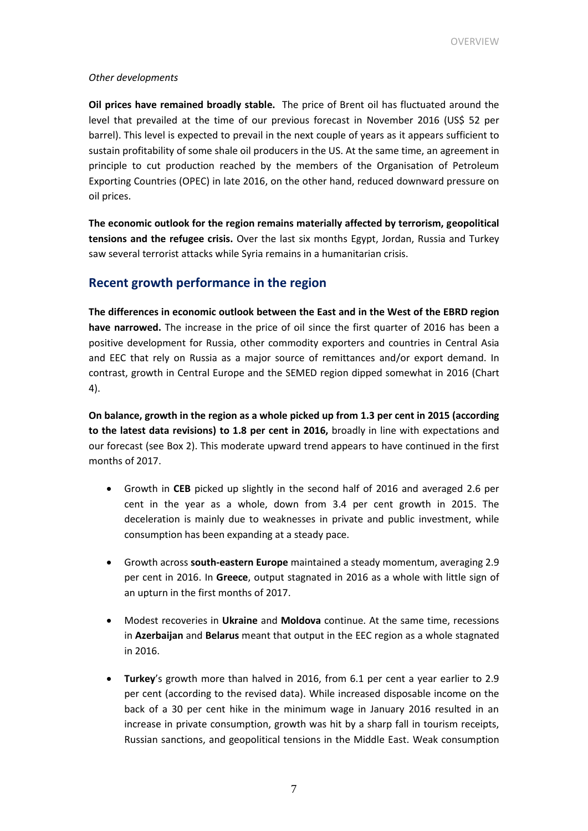#### *Other developments*

**Oil prices have remained broadly stable.** The price of Brent oil has fluctuated around the level that prevailed at the time of our previous forecast in November 2016 (US\$ 52 per barrel). This level is expected to prevail in the next couple of years as it appears sufficient to sustain profitability of some shale oil producers in the US. At the same time, an agreement in principle to cut production reached by the members of the Organisation of Petroleum Exporting Countries (OPEC) in late 2016, on the other hand, reduced downward pressure on oil prices.

**The economic outlook for the region remains materially affected by terrorism, geopolitical tensions and the refugee crisis.** Over the last six months Egypt, Jordan, Russia and Turkey saw several terrorist attacks while Syria remains in a humanitarian crisis.

#### **Recent growth performance in the region**

**The differences in economic outlook between the East and in the West of the EBRD region have narrowed.** The increase in the price of oil since the first quarter of 2016 has been a positive development for Russia, other commodity exporters and countries in Central Asia and EEC that rely on Russia as a major source of remittances and/or export demand. In contrast, growth in Central Europe and the SEMED region dipped somewhat in 2016 (Chart 4).

**On balance, growth in the region as a whole picked up from 1.3 per cent in 2015 (according to the latest data revisions) to 1.8 per cent in 2016,** broadly in line with expectations and our forecast (see Box 2). This moderate upward trend appears to have continued in the first months of 2017.

- Growth in **CEB** picked up slightly in the second half of 2016 and averaged 2.6 per cent in the year as a whole, down from 3.4 per cent growth in 2015. The deceleration is mainly due to weaknesses in private and public investment, while consumption has been expanding at a steady pace.
- Growth across **south-eastern Europe** maintained a steady momentum, averaging 2.9 per cent in 2016. In **Greece**, output stagnated in 2016 as a whole with little sign of an upturn in the first months of 2017.
- Modest recoveries in **Ukraine** and **Moldova** continue. At the same time, recessions in **Azerbaijan** and **Belarus** meant that output in the EEC region as a whole stagnated in 2016.
- **Turkey**'s growth more than halved in 2016, from 6.1 per cent a year earlier to 2.9 per cent (according to the revised data). While increased disposable income on the back of a 30 per cent hike in the minimum wage in January 2016 resulted in an increase in private consumption, growth was hit by a sharp fall in tourism receipts, Russian sanctions, and geopolitical tensions in the Middle East. Weak consumption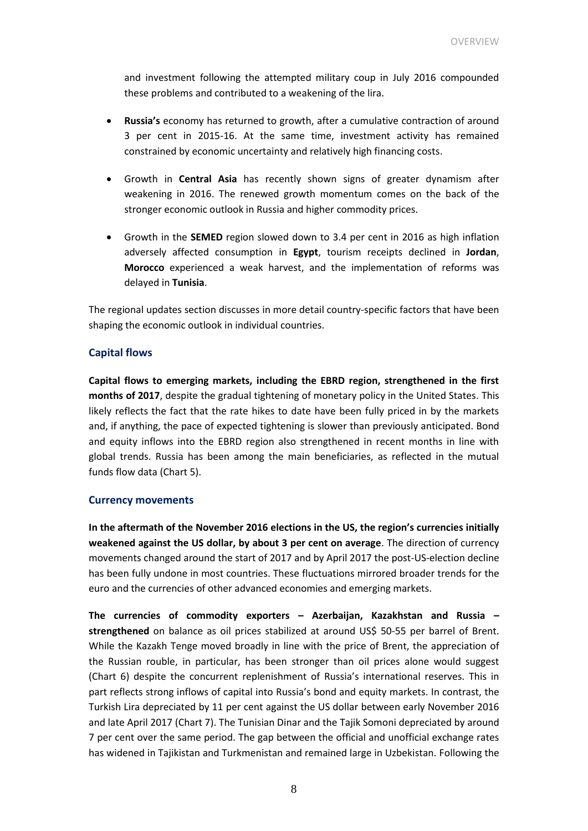and investment following the attempted military coup in July 2016 compounded these problems and contributed to a weakening of the lira.

- **Russia's** economy has returned to growth, after a cumulative contraction of around 3 per cent in 2015-16. At the same time, investment activity has remained constrained by economic uncertainty and relatively high financing costs.
- Growth in **Central Asia** has recently shown signs of greater dynamism after weakening in 2016. The renewed growth momentum comes on the back of the stronger economic outlook in Russia and higher commodity prices.
- Growth in the **SEMED** region slowed down to 3.4 per cent in 2016 as high inflation adversely affected consumption in **Egypt**, tourism receipts declined in **Jordan**, **Morocco** experienced a weak harvest, and the implementation of reforms was delayed in **Tunisia**.

The regional updates section discusses in more detail country-specific factors that have been shaping the economic outlook in individual countries.

#### **Capital flows**

**Capital flows to emerging markets, including the EBRD region, strengthened in the first months of 2017**, despite the gradual tightening of monetary policy in the United States. This likely reflects the fact that the rate hikes to date have been fully priced in by the markets and, if anything, the pace of expected tightening is slower than previously anticipated. Bond and equity inflows into the EBRD region also strengthened in recent months in line with global trends. Russia has been among the main beneficiaries, as reflected in the mutual funds flow data (Chart 5).

#### **Currency movements**

**In the aftermath of the November 2016 elections in the US, the region's currencies initially weakened against the US dollar, by about 3 per cent on average**. The direction of currency movements changed around the start of 2017 and by April 2017 the post-US-election decline has been fully undone in most countries. These fluctuations mirrored broader trends for the euro and the currencies of other advanced economies and emerging markets.

**The currencies of commodity exporters – Azerbaijan, Kazakhstan and Russia –** strengthened on balance as oil prices stabilized at around US\$ 50-55 per barrel of Brent. While the Kazakh Tenge moved broadly in line with the price of Brent, the appreciation of the Russian rouble, in particular, has been stronger than oil prices alone would suggest (Chart 6) despite the concurrent replenishment of Russia's international reserves. This in part reflects strong inflows of capital into Russia's bond and equity markets. In contrast, the Turkish Lira depreciated by 11 per cent against the US dollar between early November 2016 and late April 2017 (Chart 7). The Tunisian Dinar and the Tajik Somoni depreciated by around 7 per cent over the same period. The gap between the official and unofficial exchange rates has widened in Tajikistan and Turkmenistan and remained large in Uzbekistan. Following the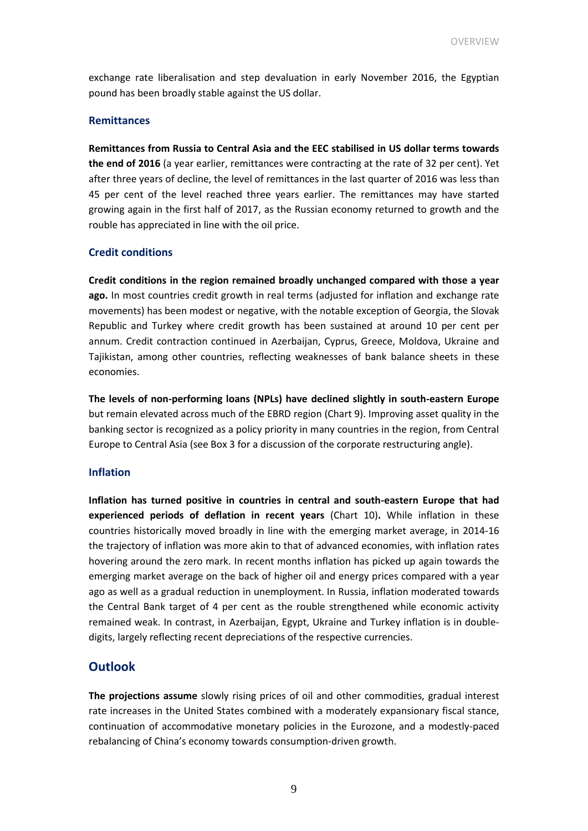exchange rate liberalisation and step devaluation in early November 2016, the Egyptian pound has been broadly stable against the US dollar.

#### **Remittances**

**Remittances from Russia to Central Asia and the EEC stabilised in US dollar terms towards the end of 2016** (a year earlier, remittances were contracting at the rate of 32 per cent). Yet after three years of decline, the level of remittances in the last quarter of 2016 was less than 45 per cent of the level reached three years earlier. The remittances may have started growing again in the first half of 2017, as the Russian economy returned to growth and the rouble has appreciated in line with the oil price.

#### **Credit conditions**

**Credit conditions in the region remained broadly unchanged compared with those a year ago.** In most countries credit growth in real terms (adjusted for inflation and exchange rate movements) has been modest or negative, with the notable exception of Georgia, the Slovak Republic and Turkey where credit growth has been sustained at around 10 per cent per annum. Credit contraction continued in Azerbaijan, Cyprus, Greece, Moldova, Ukraine and Tajikistan, among other countries, reflecting weaknesses of bank balance sheets in these economies.

**The levels of non-performing loans (NPLs) have declined slightly in south-eastern Europe**  but remain elevated across much of the EBRD region (Chart 9). Improving asset quality in the banking sector is recognized as a policy priority in many countries in the region, from Central Europe to Central Asia (see Box 3 for a discussion of the corporate restructuring angle).

#### **Inflation**

**Inflation has turned positive in countries in central and south-eastern Europe that had experienced periods of deflation in recent years** (Chart 10)**.** While inflation in these countries historically moved broadly in line with the emerging market average, in 2014-16 the trajectory of inflation was more akin to that of advanced economies, with inflation rates hovering around the zero mark. In recent months inflation has picked up again towards the emerging market average on the back of higher oil and energy prices compared with a year ago as well as a gradual reduction in unemployment. In Russia, inflation moderated towards the Central Bank target of 4 per cent as the rouble strengthened while economic activity remained weak. In contrast, in Azerbaijan, Egypt, Ukraine and Turkey inflation is in doubledigits, largely reflecting recent depreciations of the respective currencies.

#### **Outlook**

**The projections assume** slowly rising prices of oil and other commodities, gradual interest rate increases in the United States combined with a moderately expansionary fiscal stance, continuation of accommodative monetary policies in the Eurozone, and a modestly-paced rebalancing of China's economy towards consumption-driven growth.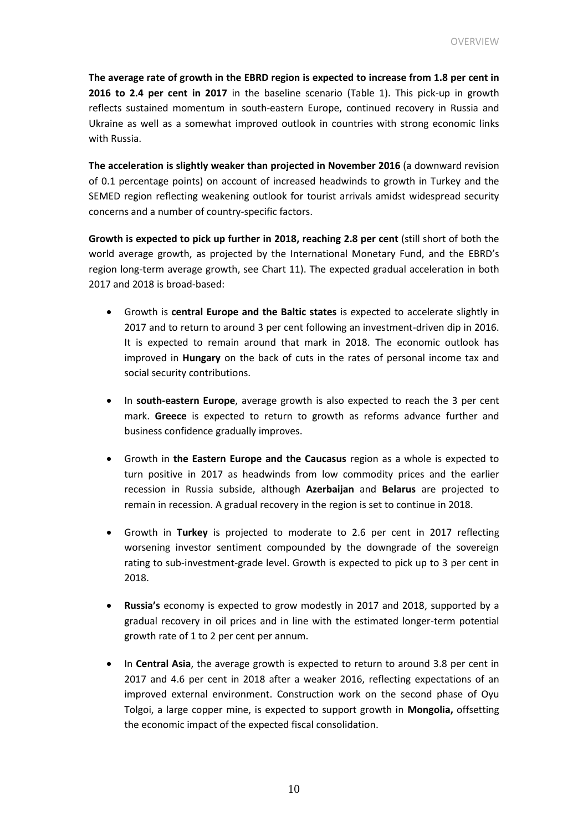**The average rate of growth in the EBRD region is expected to increase from 1.8 per cent in 2016 to 2.4 per cent in 2017** in the baseline scenario (Table 1). This pick-up in growth reflects sustained momentum in south-eastern Europe, continued recovery in Russia and Ukraine as well as a somewhat improved outlook in countries with strong economic links with Russia.

**The acceleration is slightly weaker than projected in November 2016** (a downward revision of 0.1 percentage points) on account of increased headwinds to growth in Turkey and the SEMED region reflecting weakening outlook for tourist arrivals amidst widespread security concerns and a number of country-specific factors.

**Growth is expected to pick up further in 2018, reaching 2.8 per cent** (still short of both the world average growth, as projected by the International Monetary Fund, and the EBRD's region long-term average growth, see Chart 11). The expected gradual acceleration in both 2017 and 2018 is broad-based:

- Growth is **central Europe and the Baltic states** is expected to accelerate slightly in 2017 and to return to around 3 per cent following an investment-driven dip in 2016. It is expected to remain around that mark in 2018. The economic outlook has improved in **Hungary** on the back of cuts in the rates of personal income tax and social security contributions.
- In **south-eastern Europe**, average growth is also expected to reach the 3 per cent mark. **Greece** is expected to return to growth as reforms advance further and business confidence gradually improves.
- Growth in **the Eastern Europe and the Caucasus** region as a whole is expected to turn positive in 2017 as headwinds from low commodity prices and the earlier recession in Russia subside, although **Azerbaijan** and **Belarus** are projected to remain in recession. A gradual recovery in the region is set to continue in 2018.
- Growth in **Turkey** is projected to moderate to 2.6 per cent in 2017 reflecting worsening investor sentiment compounded by the downgrade of the sovereign rating to sub-investment-grade level. Growth is expected to pick up to 3 per cent in 2018.
- **Russia's** economy is expected to grow modestly in 2017 and 2018, supported by a gradual recovery in oil prices and in line with the estimated longer-term potential growth rate of 1 to 2 per cent per annum.
- In **Central Asia**, the average growth is expected to return to around 3.8 per cent in 2017 and 4.6 per cent in 2018 after a weaker 2016, reflecting expectations of an improved external environment. Construction work on the second phase of Oyu Tolgoi, a large copper mine, is expected to support growth in **Mongolia,** offsetting the economic impact of the expected fiscal consolidation.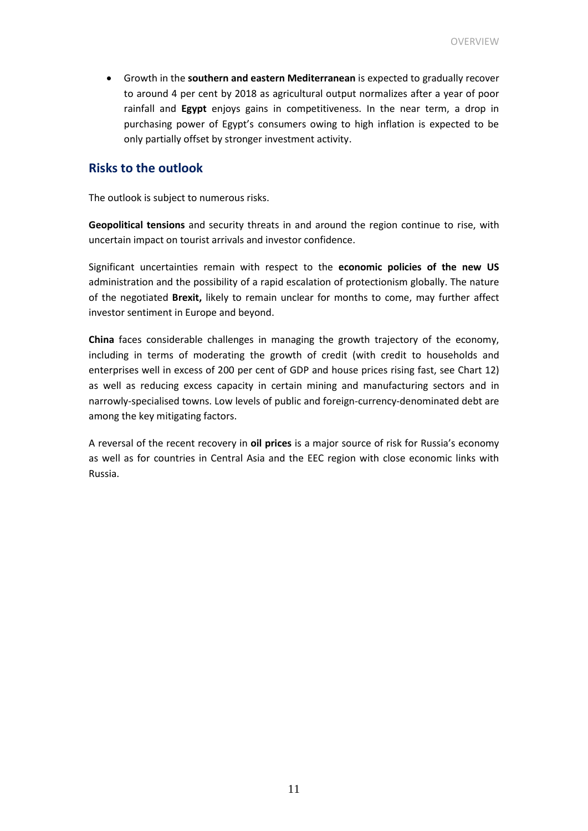Growth in the **southern and eastern Mediterranean** is expected to gradually recover to around 4 per cent by 2018 as agricultural output normalizes after a year of poor rainfall and **Egypt** enjoys gains in competitiveness. In the near term, a drop in purchasing power of Egypt's consumers owing to high inflation is expected to be only partially offset by stronger investment activity.

#### **Risks to the outlook**

The outlook is subject to numerous risks.

**Geopolitical tensions** and security threats in and around the region continue to rise, with uncertain impact on tourist arrivals and investor confidence.

Significant uncertainties remain with respect to the **economic policies of the new US** administration and the possibility of a rapid escalation of protectionism globally. The nature of the negotiated **Brexit,** likely to remain unclear for months to come, may further affect investor sentiment in Europe and beyond.

**China** faces considerable challenges in managing the growth trajectory of the economy, including in terms of moderating the growth of credit (with credit to households and enterprises well in excess of 200 per cent of GDP and house prices rising fast, see Chart 12) as well as reducing excess capacity in certain mining and manufacturing sectors and in narrowly-specialised towns. Low levels of public and foreign-currency-denominated debt are among the key mitigating factors.

A reversal of the recent recovery in **oil prices** is a major source of risk for Russia's economy as well as for countries in Central Asia and the EEC region with close economic links with Russia.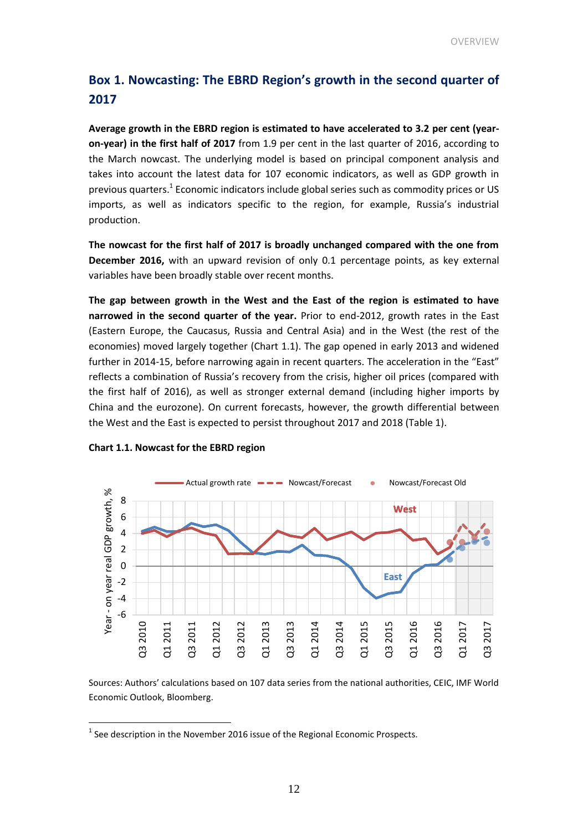## **Box 1. Nowcasting: The EBRD Region's growth in the second quarter of 2017**

**Average growth in the EBRD region is estimated to have accelerated to 3.2 per cent (yearon-year) in the first half of 2017** from 1.9 per cent in the last quarter of 2016, according to the March nowcast. The underlying model is based on principal component analysis and takes into account the latest data for 107 economic indicators, as well as GDP growth in previous quarters.<sup>1</sup> Economic indicators include global series such as commodity prices or US imports, as well as indicators specific to the region, for example, Russia's industrial production.

**The nowcast for the first half of 2017 is broadly unchanged compared with the one from December 2016,** with an upward revision of only 0.1 percentage points, as key external variables have been broadly stable over recent months.

**The gap between growth in the West and the East of the region is estimated to have narrowed in the second quarter of the year.** Prior to end-2012, growth rates in the East (Eastern Europe, the Caucasus, Russia and Central Asia) and in the West (the rest of the economies) moved largely together (Chart 1.1). The gap opened in early 2013 and widened further in 2014-15, before narrowing again in recent quarters. The acceleration in the "East" reflects a combination of Russia's recovery from the crisis, higher oil prices (compared with the first half of 2016), as well as stronger external demand (including higher imports by China and the eurozone). On current forecasts, however, the growth differential between the West and the East is expected to persist throughout 2017 and 2018 (Table 1).



#### **Chart 1.1. Nowcast for the EBRD region**

 $\overline{a}$ 

Sources: Authors' calculations based on 107 data series from the national authorities, CEIC, IMF World Economic Outlook, Bloomberg.

 $<sup>1</sup>$  See description in the November 2016 issue of the Regional Economic Prospects.</sup>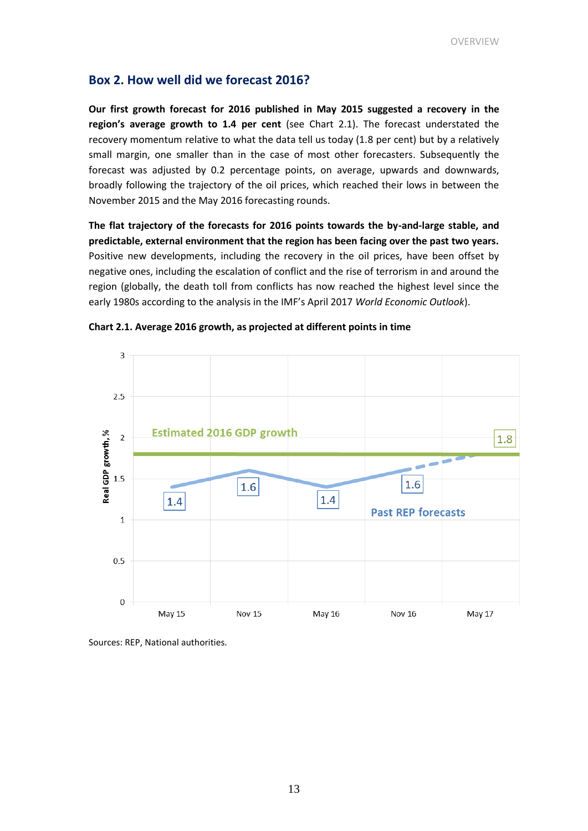### **Box 2. How well did we forecast 2016?**

**Our first growth forecast for 2016 published in May 2015 suggested a recovery in the region's average growth to 1.4 per cent** (see Chart 2.1). The forecast understated the recovery momentum relative to what the data tell us today (1.8 per cent) but by a relatively small margin, one smaller than in the case of most other forecasters. Subsequently the forecast was adjusted by 0.2 percentage points, on average, upwards and downwards, broadly following the trajectory of the oil prices, which reached their lows in between the November 2015 and the May 2016 forecasting rounds.

**The flat trajectory of the forecasts for 2016 points towards the by-and-large stable, and predictable, external environment that the region has been facing over the past two years.** Positive new developments, including the recovery in the oil prices, have been offset by negative ones, including the escalation of conflict and the rise of terrorism in and around the region (globally, the death toll from conflicts has now reached the highest level since the early 1980s according to the analysis in the IMF's April 2017 *World Economic Outlook*).



**Chart 2.1. Average 2016 growth, as projected at different points in time**

Sources: REP, National authorities.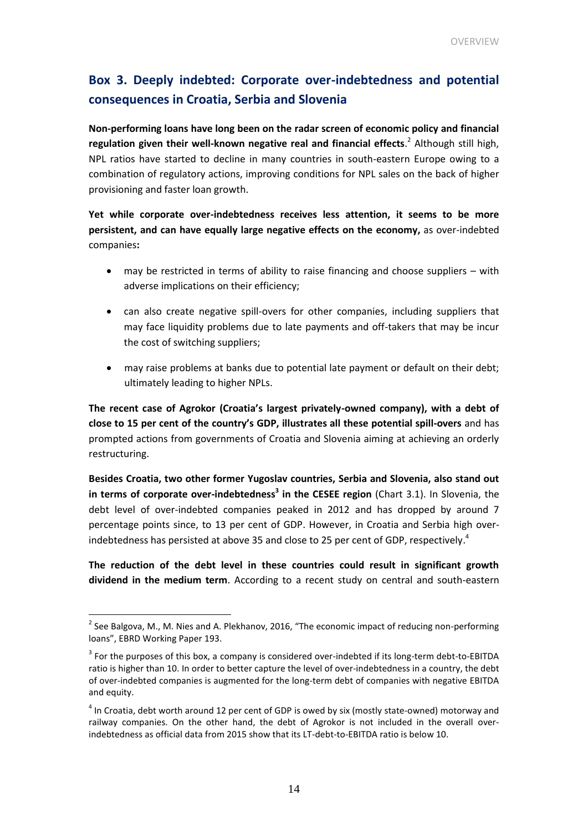### **Box 3. Deeply indebted: Corporate over-indebtedness and potential consequences in Croatia, Serbia and Slovenia**

**Non-performing loans have long been on the radar screen of economic policy and financial regulation given their well-known negative real and financial effects**. 2 Although still high, NPL ratios have started to decline in many countries in south-eastern Europe owing to a combination of regulatory actions, improving conditions for NPL sales on the back of higher provisioning and faster loan growth.

**Yet while corporate over-indebtedness receives less attention, it seems to be more persistent, and can have equally large negative effects on the economy,** as over-indebted companies**:** 

- may be restricted in terms of ability to raise financing and choose suppliers with adverse implications on their efficiency;
- can also create negative spill-overs for other companies, including suppliers that may face liquidity problems due to late payments and off-takers that may be incur the cost of switching suppliers;
- may raise problems at banks due to potential late payment or default on their debt; ultimately leading to higher NPLs.

**The recent case of Agrokor (Croatia's largest privately-owned company), with a debt of close to 15 per cent of the country's GDP, illustrates all these potential spill-overs** and has prompted actions from governments of Croatia and Slovenia aiming at achieving an orderly restructuring.

**Besides Croatia, two other former Yugoslav countries, Serbia and Slovenia, also stand out in terms of corporate over-indebtedness<sup>3</sup> in the CESEE region** (Chart 3.1). In Slovenia, the debt level of over-indebted companies peaked in 2012 and has dropped by around 7 percentage points since, to 13 per cent of GDP. However, in Croatia and Serbia high overindebtedness has persisted at above 35 and close to 25 per cent of GDP, respectively.<sup>4</sup>

**The reduction of the debt level in these countries could result in significant growth dividend in the medium term**. According to a recent study on central and south-eastern

 $\overline{a}$ 

 $2$  See Balgova, M., M. Nies and A. Plekhanov, 2016, "The economic impact of reducing non-performing loans", EBRD Working Paper 193.

 $3$  For the purposes of this box, a company is considered over-indebted if its long-term debt-to-EBITDA ratio is higher than 10. In order to better capture the level of over-indebtedness in a country, the debt of over-indebted companies is augmented for the long-term debt of companies with negative EBITDA and equity.

 $<sup>4</sup>$  In Croatia, debt worth around 12 per cent of GDP is owed by six (mostly state-owned) motorway and</sup> railway companies. On the other hand, the debt of Agrokor is not included in the overall overindebtedness as official data from 2015 show that its LT-debt-to-EBITDA ratio is below 10.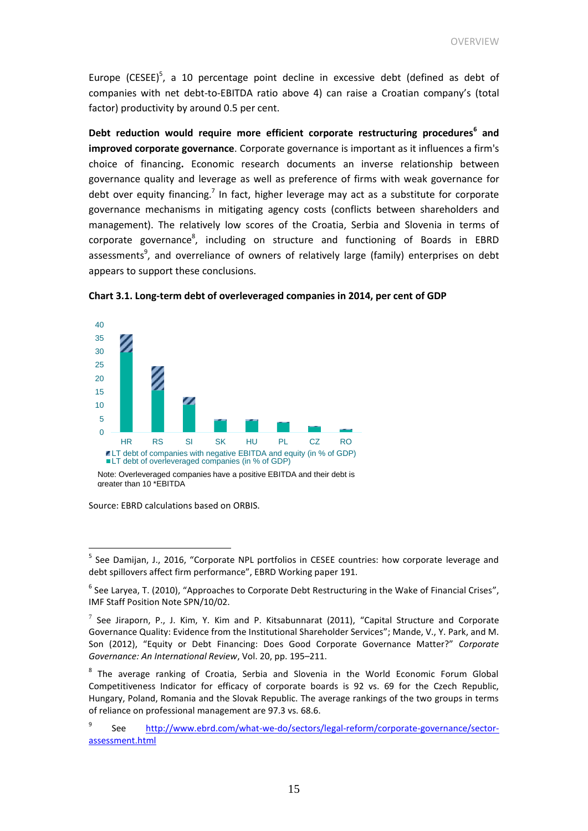Europe (CESEE)<sup>5</sup>, a 10 percentage point decline in excessive debt (defined as debt of companies with net debt-to-EBITDA ratio above 4) can raise a Croatian company's (total factor) productivity by around 0.5 per cent.

**Debt reduction would require more efficient corporate restructuring procedures<sup>6</sup> and improved corporate governance**. Corporate governance is important as it influences a firm's choice of financing**.** Economic research documents an inverse relationship between governance quality and leverage as well as preference of firms with weak governance for debt over equity financing.<sup>7</sup> In fact, higher leverage may act as a substitute for corporate governance mechanisms in mitigating agency costs (conflicts between shareholders and management). The relatively low scores of the Croatia, Serbia and Slovenia in terms of corporate governance<sup>8</sup>, including on structure and functioning of Boards in EBRD assessments<sup>9</sup>, and overreliance of owners of relatively large (family) enterprises on debt appears to support these conclusions.



**Chart 3.1. Long-term debt of overleveraged companies in 2014, per cent of GDP**

Source: EBRD calculations based on ORBIS.

 $\overline{a}$ 

Note: Overleveraged companies have a positive EBITDA and their debt is greater than 10 \*EBITDA

<sup>&</sup>lt;sup>5</sup> See Damijan, J., 2016, "Corporate NPL portfolios in CESEE countries: how corporate leverage and debt spillovers affect firm performance", EBRD Working paper 191.

 $^6$  See Laryea, T. (2010), "Approaches to Corporate Debt Restructuring in the Wake of Financial Crises", IMF Staff Position Note SPN/10/02.

 $^7$  See Jiraporn, P., J. Kim, Y. Kim and P. Kitsabunnarat (2011), "Capital Structure and Corporate Governance Quality: Evidence from the Institutional Shareholder Services"; Mande, V., Y. Park, and M. Son (2012), "Equity or Debt Financing: Does Good Corporate Governance Matter?" *Corporate Governance: An International Review*, Vol. 20, pp. 195–211.

<sup>&</sup>lt;sup>8</sup> The average ranking of Croatia, Serbia and Slovenia in the World Economic Forum Global Competitiveness Indicator for efficacy of corporate boards is 92 vs. 69 for the Czech Republic, Hungary, Poland, Romania and the Slovak Republic. The average rankings of the two groups in terms of reliance on professional management are 97.3 vs. 68.6.

<sup>9</sup> See [http://www.ebrd.com/what-we-do/sectors/legal-reform/corporate-governance/sector](http://www.ebrd.com/what-we-do/sectors/legal-reform/corporate-governance/sector-assessment.html)[assessment.html](http://www.ebrd.com/what-we-do/sectors/legal-reform/corporate-governance/sector-assessment.html)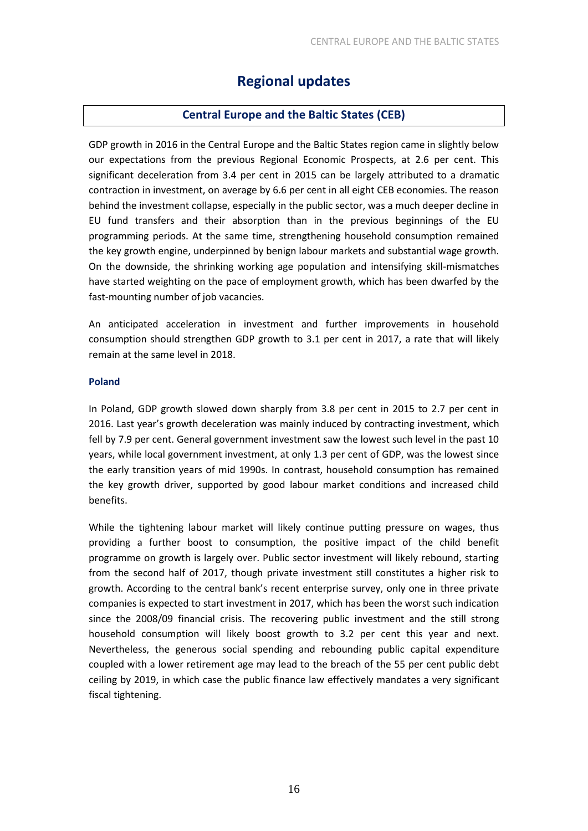## **Regional updates**

#### **Central Europe and the Baltic States (CEB)**

GDP growth in 2016 in the Central Europe and the Baltic States region came in slightly below our expectations from the previous Regional Economic Prospects, at 2.6 per cent. This significant deceleration from 3.4 per cent in 2015 can be largely attributed to a dramatic contraction in investment, on average by 6.6 per cent in all eight CEB economies. The reason behind the investment collapse, especially in the public sector, was a much deeper decline in EU fund transfers and their absorption than in the previous beginnings of the EU programming periods. At the same time, strengthening household consumption remained the key growth engine, underpinned by benign labour markets and substantial wage growth. On the downside, the shrinking working age population and intensifying skill-mismatches have started weighting on the pace of employment growth, which has been dwarfed by the fast-mounting number of job vacancies.

An anticipated acceleration in investment and further improvements in household consumption should strengthen GDP growth to 3.1 per cent in 2017, a rate that will likely remain at the same level in 2018.

#### **Poland**

In Poland, GDP growth slowed down sharply from 3.8 per cent in 2015 to 2.7 per cent in 2016. Last year's growth deceleration was mainly induced by contracting investment, which fell by 7.9 per cent. General government investment saw the lowest such level in the past 10 years, while local government investment, at only 1.3 per cent of GDP, was the lowest since the early transition years of mid 1990s. In contrast, household consumption has remained the key growth driver, supported by good labour market conditions and increased child benefits.

While the tightening labour market will likely continue putting pressure on wages, thus providing a further boost to consumption, the positive impact of the child benefit programme on growth is largely over. Public sector investment will likely rebound, starting from the second half of 2017, though private investment still constitutes a higher risk to growth. According to the central bank's recent enterprise survey, only one in three private companies is expected to start investment in 2017, which has been the worst such indication since the 2008/09 financial crisis. The recovering public investment and the still strong household consumption will likely boost growth to 3.2 per cent this year and next. Nevertheless, the generous social spending and rebounding public capital expenditure coupled with a lower retirement age may lead to the breach of the 55 per cent public debt ceiling by 2019, in which case the public finance law effectively mandates a very significant fiscal tightening.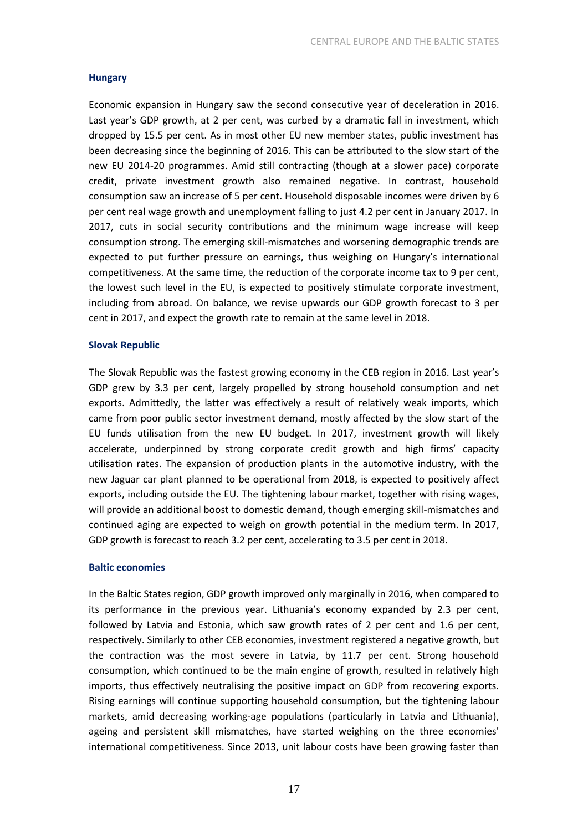#### **Hungary**

Economic expansion in Hungary saw the second consecutive year of deceleration in 2016. Last year's GDP growth, at 2 per cent, was curbed by a dramatic fall in investment, which dropped by 15.5 per cent. As in most other EU new member states, public investment has been decreasing since the beginning of 2016. This can be attributed to the slow start of the new EU 2014-20 programmes. Amid still contracting (though at a slower pace) corporate credit, private investment growth also remained negative. In contrast, household consumption saw an increase of 5 per cent. Household disposable incomes were driven by 6 per cent real wage growth and unemployment falling to just 4.2 per cent in January 2017. In 2017, cuts in social security contributions and the minimum wage increase will keep consumption strong. The emerging skill-mismatches and worsening demographic trends are expected to put further pressure on earnings, thus weighing on Hungary's international competitiveness. At the same time, the reduction of the corporate income tax to 9 per cent, the lowest such level in the EU, is expected to positively stimulate corporate investment, including from abroad. On balance, we revise upwards our GDP growth forecast to 3 per cent in 2017, and expect the growth rate to remain at the same level in 2018.

#### **Slovak Republic**

The Slovak Republic was the fastest growing economy in the CEB region in 2016. Last year's GDP grew by 3.3 per cent, largely propelled by strong household consumption and net exports. Admittedly, the latter was effectively a result of relatively weak imports, which came from poor public sector investment demand, mostly affected by the slow start of the EU funds utilisation from the new EU budget. In 2017, investment growth will likely accelerate, underpinned by strong corporate credit growth and high firms' capacity utilisation rates. The expansion of production plants in the automotive industry, with the new Jaguar car plant planned to be operational from 2018, is expected to positively affect exports, including outside the EU. The tightening labour market, together with rising wages, will provide an additional boost to domestic demand, though emerging skill-mismatches and continued aging are expected to weigh on growth potential in the medium term. In 2017, GDP growth is forecast to reach 3.2 per cent, accelerating to 3.5 per cent in 2018.

#### **Baltic economies**

In the Baltic States region, GDP growth improved only marginally in 2016, when compared to its performance in the previous year. Lithuania's economy expanded by 2.3 per cent, followed by Latvia and Estonia, which saw growth rates of 2 per cent and 1.6 per cent, respectively. Similarly to other CEB economies, investment registered a negative growth, but the contraction was the most severe in Latvia, by 11.7 per cent. Strong household consumption, which continued to be the main engine of growth, resulted in relatively high imports, thus effectively neutralising the positive impact on GDP from recovering exports. Rising earnings will continue supporting household consumption, but the tightening labour markets, amid decreasing working-age populations (particularly in Latvia and Lithuania), ageing and persistent skill mismatches, have started weighing on the three economies' international competitiveness. Since 2013, unit labour costs have been growing faster than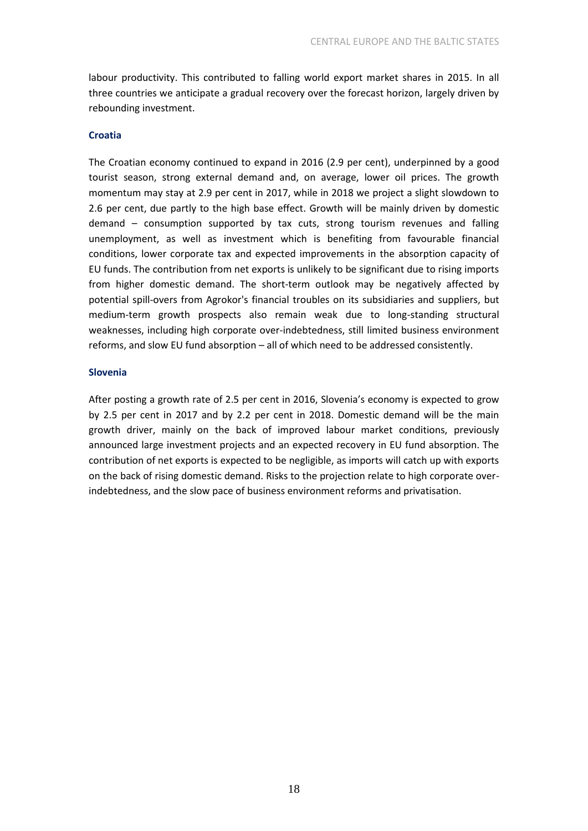labour productivity. This contributed to falling world export market shares in 2015. In all three countries we anticipate a gradual recovery over the forecast horizon, largely driven by rebounding investment.

#### **Croatia**

The Croatian economy continued to expand in 2016 (2.9 per cent), underpinned by a good tourist season, strong external demand and, on average, lower oil prices. The growth momentum may stay at 2.9 per cent in 2017, while in 2018 we project a slight slowdown to 2.6 per cent, due partly to the high base effect. Growth will be mainly driven by domestic demand – consumption supported by tax cuts, strong tourism revenues and falling unemployment, as well as investment which is benefiting from favourable financial conditions, lower corporate tax and expected improvements in the absorption capacity of EU funds. The contribution from net exports is unlikely to be significant due to rising imports from higher domestic demand. The short-term outlook may be negatively affected by potential spill-overs from Agrokor's financial troubles on its subsidiaries and suppliers, but medium-term growth prospects also remain weak due to long-standing structural weaknesses, including high corporate over-indebtedness, still limited business environment reforms, and slow EU fund absorption – all of which need to be addressed consistently.

#### **Slovenia**

After posting a growth rate of 2.5 per cent in 2016, Slovenia's economy is expected to grow by 2.5 per cent in 2017 and by 2.2 per cent in 2018. Domestic demand will be the main growth driver, mainly on the back of improved labour market conditions, previously announced large investment projects and an expected recovery in EU fund absorption. The contribution of net exports is expected to be negligible, as imports will catch up with exports on the back of rising domestic demand. Risks to the projection relate to high corporate overindebtedness, and the slow pace of business environment reforms and privatisation.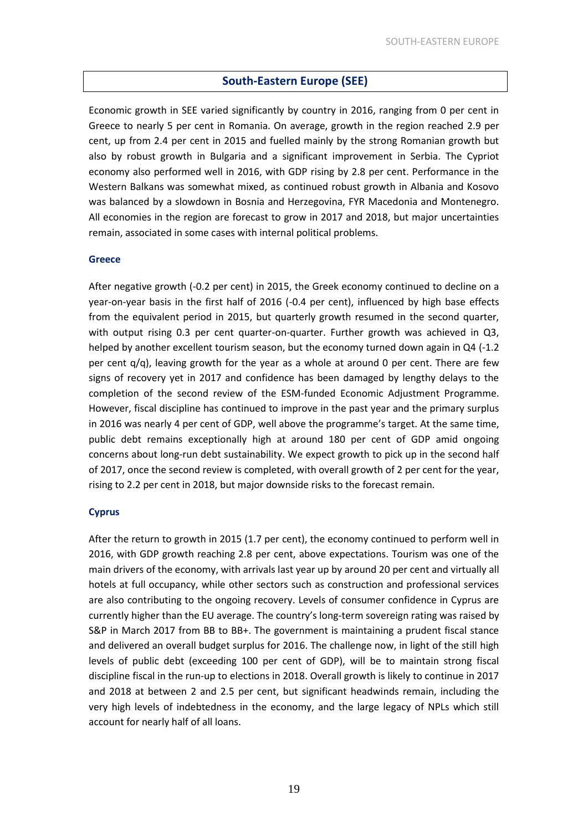#### **South-Eastern Europe (SEE)**

Economic growth in SEE varied significantly by country in 2016, ranging from 0 per cent in Greece to nearly 5 per cent in Romania. On average, growth in the region reached 2.9 per cent, up from 2.4 per cent in 2015 and fuelled mainly by the strong Romanian growth but also by robust growth in Bulgaria and a significant improvement in Serbia. The Cypriot economy also performed well in 2016, with GDP rising by 2.8 per cent. Performance in the Western Balkans was somewhat mixed, as continued robust growth in Albania and Kosovo was balanced by a slowdown in Bosnia and Herzegovina, FYR Macedonia and Montenegro. All economies in the region are forecast to grow in 2017 and 2018, but major uncertainties remain, associated in some cases with internal political problems.

#### **Greece**

After negative growth (-0.2 per cent) in 2015, the Greek economy continued to decline on a year-on-year basis in the first half of 2016 (-0.4 per cent), influenced by high base effects from the equivalent period in 2015, but quarterly growth resumed in the second quarter, with output rising 0.3 per cent quarter-on-quarter. Further growth was achieved in Q3, helped by another excellent tourism season, but the economy turned down again in Q4 (-1.2) per cent q/q), leaving growth for the year as a whole at around 0 per cent. There are few signs of recovery yet in 2017 and confidence has been damaged by lengthy delays to the completion of the second review of the ESM-funded Economic Adjustment Programme. However, fiscal discipline has continued to improve in the past year and the primary surplus in 2016 was nearly 4 per cent of GDP, well above the programme's target. At the same time, public debt remains exceptionally high at around 180 per cent of GDP amid ongoing concerns about long-run debt sustainability. We expect growth to pick up in the second half of 2017, once the second review is completed, with overall growth of 2 per cent for the year, rising to 2.2 per cent in 2018, but major downside risks to the forecast remain.

#### **Cyprus**

After the return to growth in 2015 (1.7 per cent), the economy continued to perform well in 2016, with GDP growth reaching 2.8 per cent, above expectations. Tourism was one of the main drivers of the economy, with arrivals last year up by around 20 per cent and virtually all hotels at full occupancy, while other sectors such as construction and professional services are also contributing to the ongoing recovery. Levels of consumer confidence in Cyprus are currently higher than the EU average. The country's long-term sovereign rating was raised by S&P in March 2017 from BB to BB+. The government is maintaining a prudent fiscal stance and delivered an overall budget surplus for 2016. The challenge now, in light of the still high levels of public debt (exceeding 100 per cent of GDP), will be to maintain strong fiscal discipline fiscal in the run-up to elections in 2018. Overall growth is likely to continue in 2017 and 2018 at between 2 and 2.5 per cent, but significant headwinds remain, including the very high levels of indebtedness in the economy, and the large legacy of NPLs which still account for nearly half of all loans.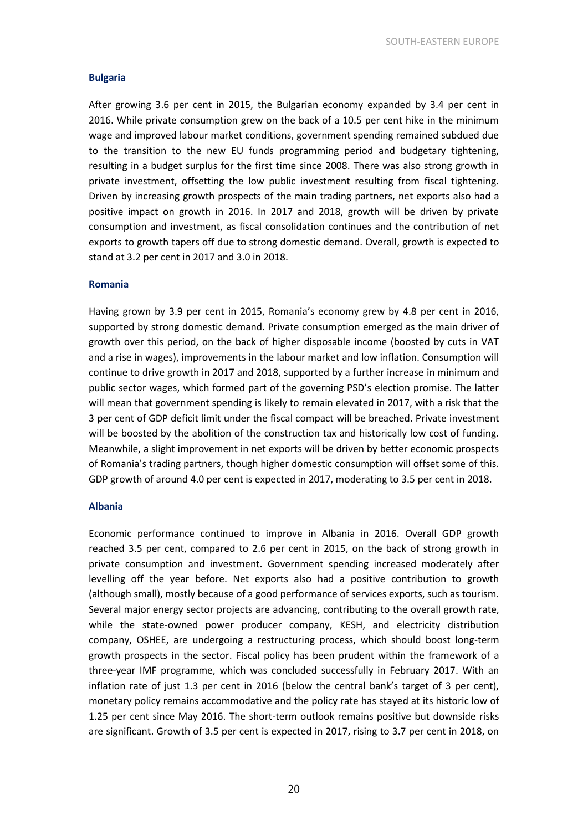#### **Bulgaria**

After growing 3.6 per cent in 2015, the Bulgarian economy expanded by 3.4 per cent in 2016. While private consumption grew on the back of a 10.5 per cent hike in the minimum wage and improved labour market conditions, government spending remained subdued due to the transition to the new EU funds programming period and budgetary tightening, resulting in a budget surplus for the first time since 2008. There was also strong growth in private investment, offsetting the low public investment resulting from fiscal tightening. Driven by increasing growth prospects of the main trading partners, net exports also had a positive impact on growth in 2016. In 2017 and 2018, growth will be driven by private consumption and investment, as fiscal consolidation continues and the contribution of net exports to growth tapers off due to strong domestic demand. Overall, growth is expected to stand at 3.2 per cent in 2017 and 3.0 in 2018.

#### **Romania**

Having grown by 3.9 per cent in 2015, Romania's economy grew by 4.8 per cent in 2016, supported by strong domestic demand. Private consumption emerged as the main driver of growth over this period, on the back of higher disposable income (boosted by cuts in VAT and a rise in wages), improvements in the labour market and low inflation. Consumption will continue to drive growth in 2017 and 2018, supported by a further increase in minimum and public sector wages, which formed part of the governing PSD's election promise. The latter will mean that government spending is likely to remain elevated in 2017, with a risk that the 3 per cent of GDP deficit limit under the fiscal compact will be breached. Private investment will be boosted by the abolition of the construction tax and historically low cost of funding. Meanwhile, a slight improvement in net exports will be driven by better economic prospects of Romania's trading partners, though higher domestic consumption will offset some of this. GDP growth of around 4.0 per cent is expected in 2017, moderating to 3.5 per cent in 2018.

#### **Albania**

Economic performance continued to improve in Albania in 2016. Overall GDP growth reached 3.5 per cent, compared to 2.6 per cent in 2015, on the back of strong growth in private consumption and investment. Government spending increased moderately after levelling off the year before. Net exports also had a positive contribution to growth (although small), mostly because of a good performance of services exports, such as tourism. Several major energy sector projects are advancing, contributing to the overall growth rate, while the state-owned power producer company, KESH, and electricity distribution company, OSHEE, are undergoing a restructuring process, which should boost long-term growth prospects in the sector. Fiscal policy has been prudent within the framework of a three-year IMF programme, which was concluded successfully in February 2017. With an inflation rate of just 1.3 per cent in 2016 (below the central bank's target of 3 per cent), monetary policy remains accommodative and the policy rate has stayed at its historic low of 1.25 per cent since May 2016. The short-term outlook remains positive but downside risks are significant. Growth of 3.5 per cent is expected in 2017, rising to 3.7 per cent in 2018, on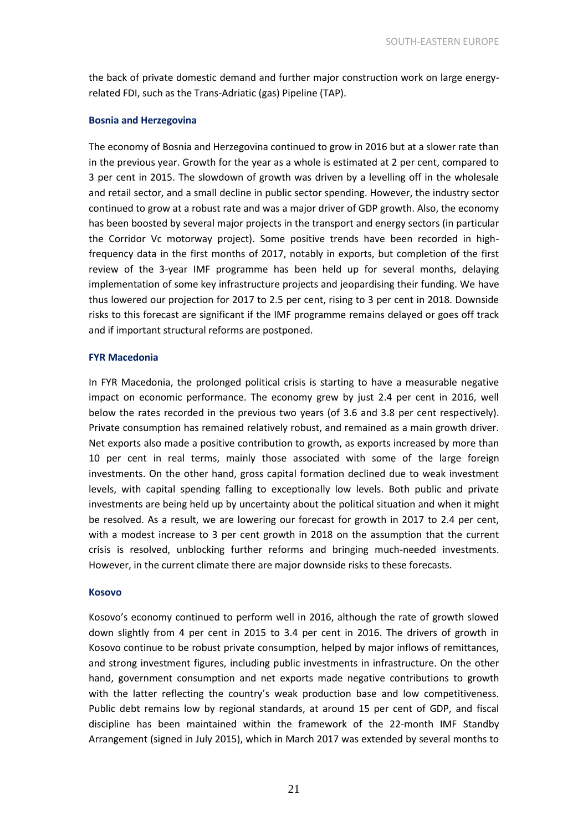the back of private domestic demand and further major construction work on large energyrelated FDI, such as the Trans-Adriatic (gas) Pipeline (TAP).

#### **Bosnia and Herzegovina**

The economy of Bosnia and Herzegovina continued to grow in 2016 but at a slower rate than in the previous year. Growth for the year as a whole is estimated at 2 per cent, compared to 3 per cent in 2015. The slowdown of growth was driven by a levelling off in the wholesale and retail sector, and a small decline in public sector spending. However, the industry sector continued to grow at a robust rate and was a major driver of GDP growth. Also, the economy has been boosted by several major projects in the transport and energy sectors (in particular the Corridor Vc motorway project). Some positive trends have been recorded in highfrequency data in the first months of 2017, notably in exports, but completion of the first review of the 3-year IMF programme has been held up for several months, delaying implementation of some key infrastructure projects and jeopardising their funding. We have thus lowered our projection for 2017 to 2.5 per cent, rising to 3 per cent in 2018. Downside risks to this forecast are significant if the IMF programme remains delayed or goes off track and if important structural reforms are postponed.

#### **FYR Macedonia**

In FYR Macedonia, the prolonged political crisis is starting to have a measurable negative impact on economic performance. The economy grew by just 2.4 per cent in 2016, well below the rates recorded in the previous two years (of 3.6 and 3.8 per cent respectively). Private consumption has remained relatively robust, and remained as a main growth driver. Net exports also made a positive contribution to growth, as exports increased by more than 10 per cent in real terms, mainly those associated with some of the large foreign investments. On the other hand, gross capital formation declined due to weak investment levels, with capital spending falling to exceptionally low levels. Both public and private investments are being held up by uncertainty about the political situation and when it might be resolved. As a result, we are lowering our forecast for growth in 2017 to 2.4 per cent, with a modest increase to 3 per cent growth in 2018 on the assumption that the current crisis is resolved, unblocking further reforms and bringing much-needed investments. However, in the current climate there are major downside risks to these forecasts.

#### **Kosovo**

Kosovo's economy continued to perform well in 2016, although the rate of growth slowed down slightly from 4 per cent in 2015 to 3.4 per cent in 2016. The drivers of growth in Kosovo continue to be robust private consumption, helped by major inflows of remittances, and strong investment figures, including public investments in infrastructure. On the other hand, government consumption and net exports made negative contributions to growth with the latter reflecting the country's weak production base and low competitiveness. Public debt remains low by regional standards, at around 15 per cent of GDP, and fiscal discipline has been maintained within the framework of the 22-month IMF Standby Arrangement (signed in July 2015), which in March 2017 was extended by several months to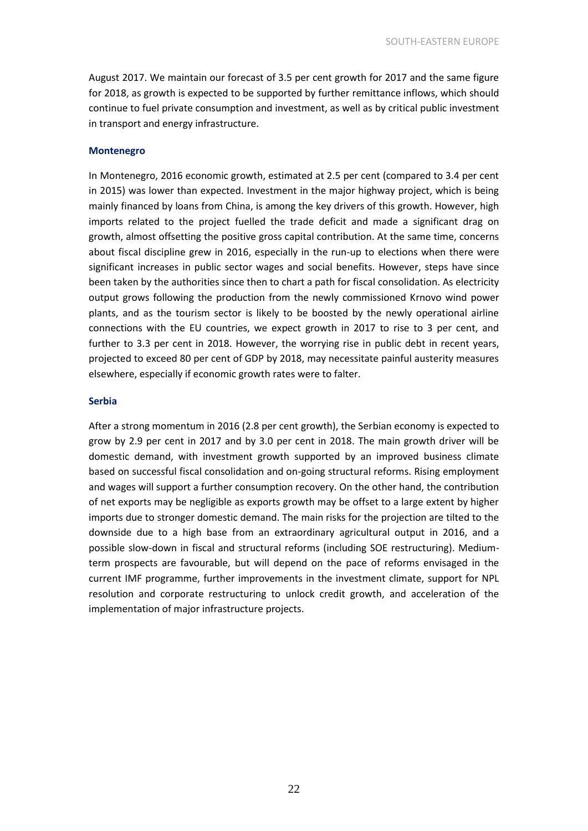August 2017. We maintain our forecast of 3.5 per cent growth for 2017 and the same figure for 2018, as growth is expected to be supported by further remittance inflows, which should continue to fuel private consumption and investment, as well as by critical public investment in transport and energy infrastructure.

#### **Montenegro**

In Montenegro, 2016 economic growth, estimated at 2.5 per cent (compared to 3.4 per cent in 2015) was lower than expected. Investment in the major highway project, which is being mainly financed by loans from China, is among the key drivers of this growth. However, high imports related to the project fuelled the trade deficit and made a significant drag on growth, almost offsetting the positive gross capital contribution. At the same time, concerns about fiscal discipline grew in 2016, especially in the run-up to elections when there were significant increases in public sector wages and social benefits. However, steps have since been taken by the authorities since then to chart a path for fiscal consolidation. As electricity output grows following the production from the newly commissioned Krnovo wind power plants, and as the tourism sector is likely to be boosted by the newly operational airline connections with the EU countries, we expect growth in 2017 to rise to 3 per cent, and further to 3.3 per cent in 2018. However, the worrying rise in public debt in recent years, projected to exceed 80 per cent of GDP by 2018, may necessitate painful austerity measures elsewhere, especially if economic growth rates were to falter.

#### **Serbia**

After a strong momentum in 2016 (2.8 per cent growth), the Serbian economy is expected to grow by 2.9 per cent in 2017 and by 3.0 per cent in 2018. The main growth driver will be domestic demand, with investment growth supported by an improved business climate based on successful fiscal consolidation and on-going structural reforms. Rising employment and wages will support a further consumption recovery. On the other hand, the contribution of net exports may be negligible as exports growth may be offset to a large extent by higher imports due to stronger domestic demand. The main risks for the projection are tilted to the downside due to a high base from an extraordinary agricultural output in 2016, and a possible slow-down in fiscal and structural reforms (including SOE restructuring). Mediumterm prospects are favourable, but will depend on the pace of reforms envisaged in the current IMF programme, further improvements in the investment climate, support for NPL resolution and corporate restructuring to unlock credit growth, and acceleration of the implementation of major infrastructure projects.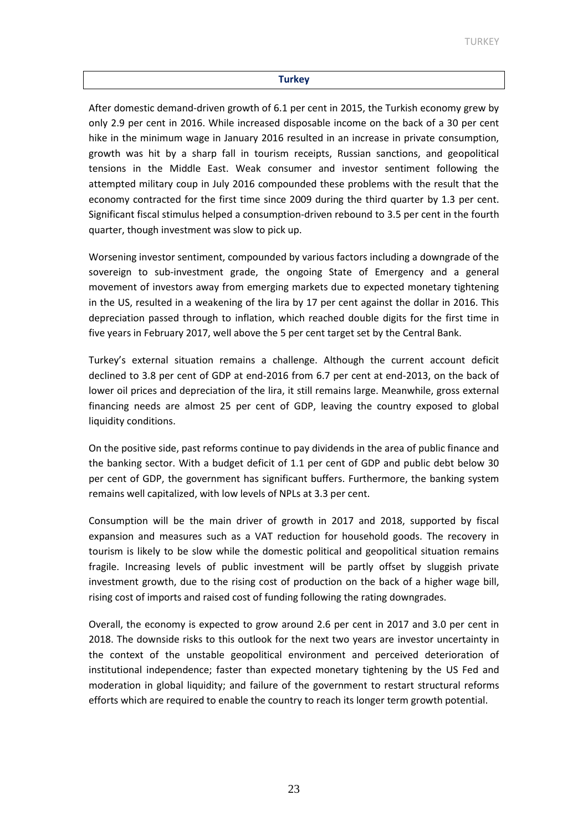#### **Turkey**

After domestic demand-driven growth of 6.1 per cent in 2015, the Turkish economy grew by only 2.9 per cent in 2016. While increased disposable income on the back of a 30 per cent hike in the minimum wage in January 2016 resulted in an increase in private consumption, growth was hit by a sharp fall in tourism receipts, Russian sanctions, and geopolitical tensions in the Middle East. Weak consumer and investor sentiment following the attempted military coup in July 2016 compounded these problems with the result that the economy contracted for the first time since 2009 during the third quarter by 1.3 per cent. Significant fiscal stimulus helped a consumption-driven rebound to 3.5 per cent in the fourth quarter, though investment was slow to pick up.

Worsening investor sentiment, compounded by various factors including a downgrade of the sovereign to sub-investment grade, the ongoing State of Emergency and a general movement of investors away from emerging markets due to expected monetary tightening in the US, resulted in a weakening of the lira by 17 per cent against the dollar in 2016. This depreciation passed through to inflation, which reached double digits for the first time in five years in February 2017, well above the 5 per cent target set by the Central Bank.

Turkey's external situation remains a challenge. Although the current account deficit declined to 3.8 per cent of GDP at end-2016 from 6.7 per cent at end-2013, on the back of lower oil prices and depreciation of the lira, it still remains large. Meanwhile, gross external financing needs are almost 25 per cent of GDP, leaving the country exposed to global liquidity conditions.

On the positive side, past reforms continue to pay dividends in the area of public finance and the banking sector. With a budget deficit of 1.1 per cent of GDP and public debt below 30 per cent of GDP, the government has significant buffers. Furthermore, the banking system remains well capitalized, with low levels of NPLs at 3.3 per cent.

Consumption will be the main driver of growth in 2017 and 2018, supported by fiscal expansion and measures such as a VAT reduction for household goods. The recovery in tourism is likely to be slow while the domestic political and geopolitical situation remains fragile. Increasing levels of public investment will be partly offset by sluggish private investment growth, due to the rising cost of production on the back of a higher wage bill, rising cost of imports and raised cost of funding following the rating downgrades.

Overall, the economy is expected to grow around 2.6 per cent in 2017 and 3.0 per cent in 2018. The downside risks to this outlook for the next two years are investor uncertainty in the context of the unstable geopolitical environment and perceived deterioration of institutional independence; faster than expected monetary tightening by the US Fed and moderation in global liquidity; and failure of the government to restart structural reforms efforts which are required to enable the country to reach its longer term growth potential.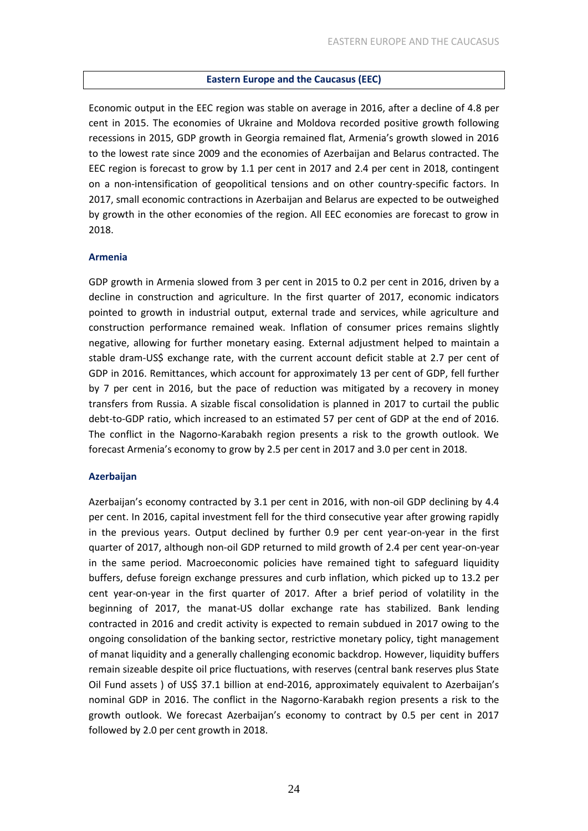#### **Eastern Europe and the Caucasus (EEC)**

Economic output in the EEC region was stable on average in 2016, after a decline of 4.8 per cent in 2015. The economies of Ukraine and Moldova recorded positive growth following recessions in 2015, GDP growth in Georgia remained flat, Armenia's growth slowed in 2016 to the lowest rate since 2009 and the economies of Azerbaijan and Belarus contracted. The EEC region is forecast to grow by 1.1 per cent in 2017 and 2.4 per cent in 2018, contingent on a non-intensification of geopolitical tensions and on other country-specific factors. In 2017, small economic contractions in Azerbaijan and Belarus are expected to be outweighed by growth in the other economies of the region. All EEC economies are forecast to grow in 2018.

#### **Armenia**

GDP growth in Armenia slowed from 3 per cent in 2015 to 0.2 per cent in 2016, driven by a decline in construction and agriculture. In the first quarter of 2017, economic indicators pointed to growth in industrial output, external trade and services, while agriculture and construction performance remained weak. Inflation of consumer prices remains slightly negative, allowing for further monetary easing. External adjustment helped to maintain a stable dram-US\$ exchange rate, with the current account deficit stable at 2.7 per cent of GDP in 2016. Remittances, which account for approximately 13 per cent of GDP, fell further by 7 per cent in 2016, but the pace of reduction was mitigated by a recovery in money transfers from Russia. A sizable fiscal consolidation is planned in 2017 to curtail the public debt-to-GDP ratio, which increased to an estimated 57 per cent of GDP at the end of 2016. The conflict in the Nagorno-Karabakh region presents a risk to the growth outlook. We forecast Armenia's economy to grow by 2.5 per cent in 2017 and 3.0 per cent in 2018.

#### **Azerbaijan**

Azerbaijan's economy contracted by 3.1 per cent in 2016, with non-oil GDP declining by 4.4 per cent. In 2016, capital investment fell for the third consecutive year after growing rapidly in the previous years. Output declined by further 0.9 per cent year-on-year in the first quarter of 2017, although non-oil GDP returned to mild growth of 2.4 per cent year-on-year in the same period. Macroeconomic policies have remained tight to safeguard liquidity buffers, defuse foreign exchange pressures and curb inflation, which picked up to 13.2 per cent year-on-year in the first quarter of 2017. After a brief period of volatility in the beginning of 2017, the manat-US dollar exchange rate has stabilized. Bank lending contracted in 2016 and credit activity is expected to remain subdued in 2017 owing to the ongoing consolidation of the banking sector, restrictive monetary policy, tight management of manat liquidity and a generally challenging economic backdrop. However, liquidity buffers remain sizeable despite oil price fluctuations, with reserves (central bank reserves plus State Oil Fund assets ) of US\$ 37.1 billion at end-2016, approximately equivalent to Azerbaijan's nominal GDP in 2016. The conflict in the Nagorno-Karabakh region presents a risk to the growth outlook. We forecast Azerbaijan's economy to contract by 0.5 per cent in 2017 followed by 2.0 per cent growth in 2018.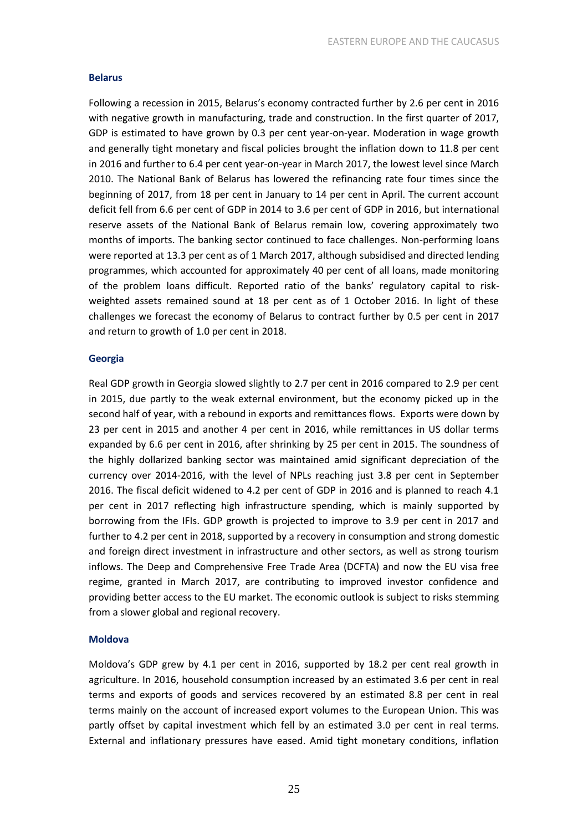#### **Belarus**

Following a recession in 2015, Belarus's economy contracted further by 2.6 per cent in 2016 with negative growth in manufacturing, trade and construction. In the first quarter of 2017, GDP is estimated to have grown by 0.3 per cent year-on-year. Moderation in wage growth and generally tight monetary and fiscal policies brought the inflation down to 11.8 per cent in 2016 and further to 6.4 per cent year-on-year in March 2017, the lowest level since March 2010. The National Bank of Belarus has lowered the refinancing rate four times since the beginning of 2017, from 18 per cent in January to 14 per cent in April. The current account deficit fell from 6.6 per cent of GDP in 2014 to 3.6 per cent of GDP in 2016, but international reserve assets of the National Bank of Belarus remain low, covering approximately two months of imports. The banking sector continued to face challenges. Non-performing loans were reported at 13.3 per cent as of 1 March 2017, although subsidised and directed lending programmes, which accounted for approximately 40 per cent of all loans, made monitoring of the problem loans difficult. Reported ratio of the banks' regulatory capital to riskweighted assets remained sound at 18 per cent as of 1 October 2016. In light of these challenges we forecast the economy of Belarus to contract further by 0.5 per cent in 2017 and return to growth of 1.0 per cent in 2018.

#### **Georgia**

Real GDP growth in Georgia slowed slightly to 2.7 per cent in 2016 compared to 2.9 per cent in 2015, due partly to the weak external environment, but the economy picked up in the second half of year, with a rebound in exports and remittances flows. Exports were down by 23 per cent in 2015 and another 4 per cent in 2016, while remittances in US dollar terms expanded by 6.6 per cent in 2016, after shrinking by 25 per cent in 2015. The soundness of the highly dollarized banking sector was maintained amid significant depreciation of the currency over 2014-2016, with the level of NPLs reaching just 3.8 per cent in September 2016. The fiscal deficit widened to 4.2 per cent of GDP in 2016 and is planned to reach 4.1 per cent in 2017 reflecting high infrastructure spending, which is mainly supported by borrowing from the IFIs. GDP growth is projected to improve to 3.9 per cent in 2017 and further to 4.2 per cent in 2018, supported by a recovery in consumption and strong domestic and foreign direct investment in infrastructure and other sectors, as well as strong tourism inflows. The Deep and Comprehensive Free Trade Area (DCFTA) and now the EU visa free regime, granted in March 2017, are contributing to improved investor confidence and providing better access to the EU market. The economic outlook is subject to risks stemming from a slower global and regional recovery.

#### **Moldova**

Moldova's GDP grew by 4.1 per cent in 2016, supported by 18.2 per cent real growth in agriculture. In 2016, household consumption increased by an estimated 3.6 per cent in real terms and exports of goods and services recovered by an estimated 8.8 per cent in real terms mainly on the account of increased export volumes to the European Union. This was partly offset by capital investment which fell by an estimated 3.0 per cent in real terms. External and inflationary pressures have eased. Amid tight monetary conditions, inflation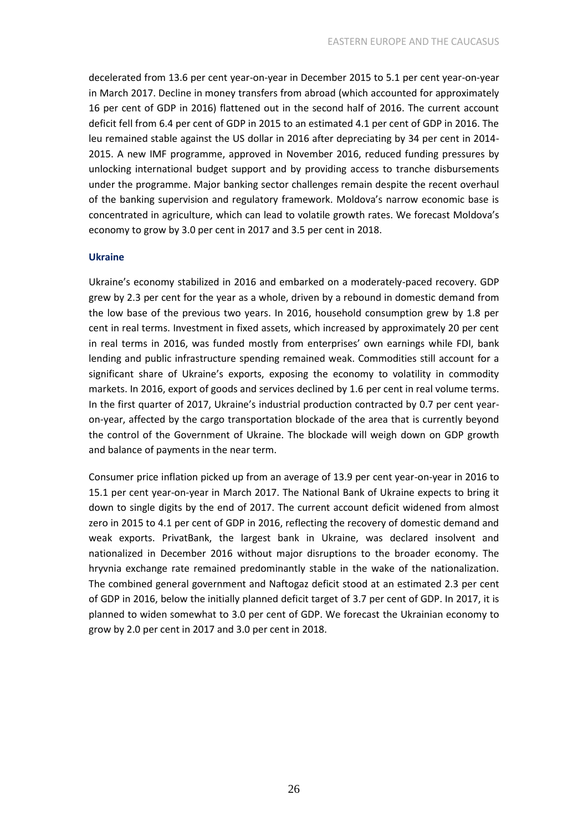decelerated from 13.6 per cent year-on-year in December 2015 to 5.1 per cent year-on-year in March 2017. Decline in money transfers from abroad (which accounted for approximately 16 per cent of GDP in 2016) flattened out in the second half of 2016. The current account deficit fell from 6.4 per cent of GDP in 2015 to an estimated 4.1 per cent of GDP in 2016. The leu remained stable against the US dollar in 2016 after depreciating by 34 per cent in 2014- 2015. A new IMF programme, approved in November 2016, reduced funding pressures by unlocking international budget support and by providing access to tranche disbursements under the programme. Major banking sector challenges remain despite the recent overhaul of the banking supervision and regulatory framework. Moldova's narrow economic base is concentrated in agriculture, which can lead to volatile growth rates. We forecast Moldova's economy to grow by 3.0 per cent in 2017 and 3.5 per cent in 2018.

#### **Ukraine**

Ukraine's economy stabilized in 2016 and embarked on a moderately-paced recovery. GDP grew by 2.3 per cent for the year as a whole, driven by a rebound in domestic demand from the low base of the previous two years. In 2016, household consumption grew by 1.8 per cent in real terms. Investment in fixed assets, which increased by approximately 20 per cent in real terms in 2016, was funded mostly from enterprises' own earnings while FDI, bank lending and public infrastructure spending remained weak. Commodities still account for a significant share of Ukraine's exports, exposing the economy to volatility in commodity markets. In 2016, export of goods and services declined by 1.6 per cent in real volume terms. In the first quarter of 2017, Ukraine's industrial production contracted by 0.7 per cent yearon-year, affected by the cargo transportation blockade of the area that is currently beyond the control of the Government of Ukraine. The blockade will weigh down on GDP growth and balance of payments in the near term.

Consumer price inflation picked up from an average of 13.9 per cent year-on-year in 2016 to 15.1 per cent year-on-year in March 2017. The National Bank of Ukraine expects to bring it down to single digits by the end of 2017. The current account deficit widened from almost zero in 2015 to 4.1 per cent of GDP in 2016, reflecting the recovery of domestic demand and weak exports. PrivatBank, the largest bank in Ukraine, was declared insolvent and nationalized in December 2016 without major disruptions to the broader economy. The hryvnia exchange rate remained predominantly stable in the wake of the nationalization. The combined general government and Naftogaz deficit stood at an estimated 2.3 per cent of GDP in 2016, below the initially planned deficit target of 3.7 per cent of GDP. In 2017, it is planned to widen somewhat to 3.0 per cent of GDP. We forecast the Ukrainian economy to grow by 2.0 per cent in 2017 and 3.0 per cent in 2018.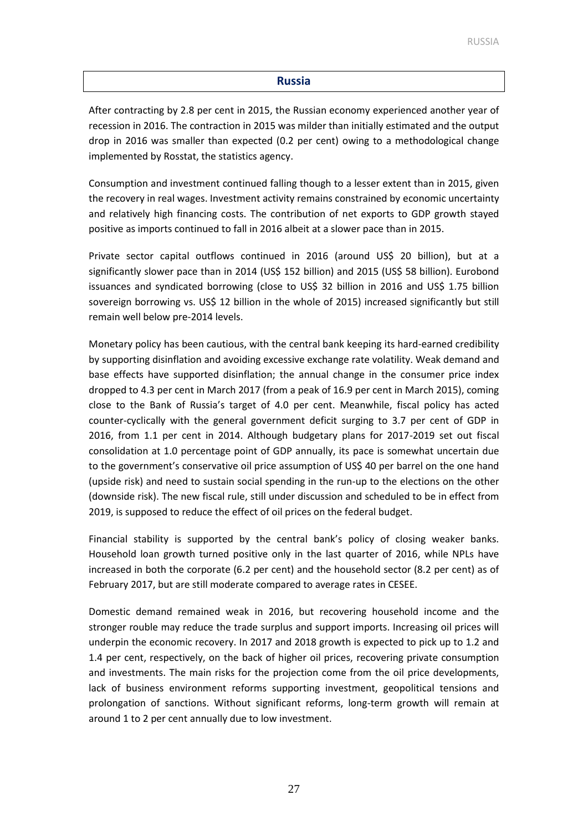#### **Russia**

After contracting by 2.8 per cent in 2015, the Russian economy experienced another year of recession in 2016. The contraction in 2015 was milder than initially estimated and the output drop in 2016 was smaller than expected (0.2 per cent) owing to a methodological change implemented by Rosstat, the statistics agency.

Consumption and investment continued falling though to a lesser extent than in 2015, given the recovery in real wages. Investment activity remains constrained by economic uncertainty and relatively high financing costs. The contribution of net exports to GDP growth stayed positive as imports continued to fall in 2016 albeit at a slower pace than in 2015.

Private sector capital outflows continued in 2016 (around US\$ 20 billion), but at a significantly slower pace than in 2014 (US\$ 152 billion) and 2015 (US\$ 58 billion). Eurobond issuances and syndicated borrowing (close to US\$ 32 billion in 2016 and US\$ 1.75 billion sovereign borrowing vs. US\$ 12 billion in the whole of 2015) increased significantly but still remain well below pre-2014 levels.

Monetary policy has been cautious, with the central bank keeping its hard-earned credibility by supporting disinflation and avoiding excessive exchange rate volatility. Weak demand and base effects have supported disinflation; the annual change in the consumer price index dropped to 4.3 per cent in March 2017 (from a peak of 16.9 per cent in March 2015), coming close to the Bank of Russia's target of 4.0 per cent. Meanwhile, fiscal policy has acted counter-cyclically with the general government deficit surging to 3.7 per cent of GDP in 2016, from 1.1 per cent in 2014. Although budgetary plans for 2017-2019 set out fiscal consolidation at 1.0 percentage point of GDP annually, its pace is somewhat uncertain due to the government's conservative oil price assumption of US\$ 40 per barrel on the one hand (upside risk) and need to sustain social spending in the run-up to the elections on the other (downside risk). The new fiscal rule, still under discussion and scheduled to be in effect from 2019, is supposed to reduce the effect of oil prices on the federal budget.

Financial stability is supported by the central bank's policy of closing weaker banks. Household loan growth turned positive only in the last quarter of 2016, while NPLs have increased in both the corporate (6.2 per cent) and the household sector (8.2 per cent) as of February 2017, but are still moderate compared to average rates in CESEE.

Domestic demand remained weak in 2016, but recovering household income and the stronger rouble may reduce the trade surplus and support imports. Increasing oil prices will underpin the economic recovery. In 2017 and 2018 growth is expected to pick up to 1.2 and 1.4 per cent, respectively, on the back of higher oil prices, recovering private consumption and investments. The main risks for the projection come from the oil price developments, lack of business environment reforms supporting investment, geopolitical tensions and prolongation of sanctions. Without significant reforms, long-term growth will remain at around 1 to 2 per cent annually due to low investment.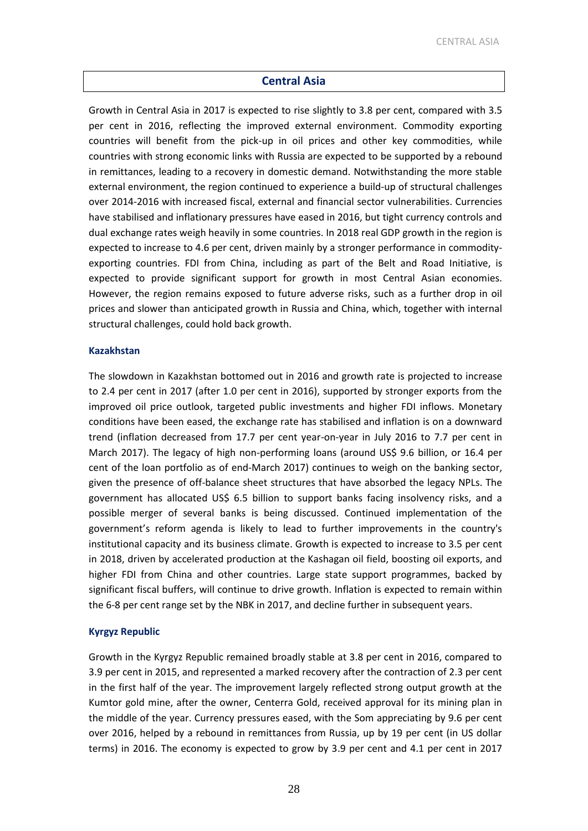#### **Central Asia**

Growth in Central Asia in 2017 is expected to rise slightly to 3.8 per cent, compared with 3.5 per cent in 2016, reflecting the improved external environment. Commodity exporting countries will benefit from the pick-up in oil prices and other key commodities, while countries with strong economic links with Russia are expected to be supported by a rebound in remittances, leading to a recovery in domestic demand. Notwithstanding the more stable external environment, the region continued to experience a build-up of structural challenges over 2014-2016 with increased fiscal, external and financial sector vulnerabilities. Currencies have stabilised and inflationary pressures have eased in 2016, but tight currency controls and dual exchange rates weigh heavily in some countries. In 2018 real GDP growth in the region is expected to increase to 4.6 per cent, driven mainly by a stronger performance in commodityexporting countries. FDI from China, including as part of the Belt and Road Initiative, is expected to provide significant support for growth in most Central Asian economies. However, the region remains exposed to future adverse risks, such as a further drop in oil prices and slower than anticipated growth in Russia and China, which, together with internal structural challenges, could hold back growth.

#### **Kazakhstan**

The slowdown in Kazakhstan bottomed out in 2016 and growth rate is projected to increase to 2.4 per cent in 2017 (after 1.0 per cent in 2016), supported by stronger exports from the improved oil price outlook, targeted public investments and higher FDI inflows. Monetary conditions have been eased, the exchange rate has stabilised and inflation is on a downward trend (inflation decreased from 17.7 per cent year-on-year in July 2016 to 7.7 per cent in March 2017). The legacy of high non-performing loans (around US\$ 9.6 billion, or 16.4 per cent of the loan portfolio as of end-March 2017) continues to weigh on the banking sector, given the presence of off-balance sheet structures that have absorbed the legacy NPLs. The government has allocated US\$ 6.5 billion to support banks facing insolvency risks, and a possible merger of several banks is being discussed. Continued implementation of the government's reform agenda is likely to lead to further improvements in the country's institutional capacity and its business climate. Growth is expected to increase to 3.5 per cent in 2018, driven by accelerated production at the Kashagan oil field, boosting oil exports, and higher FDI from China and other countries. Large state support programmes, backed by significant fiscal buffers, will continue to drive growth. Inflation is expected to remain within the 6-8 per cent range set by the NBK in 2017, and decline further in subsequent years.

#### **Kyrgyz Republic**

Growth in the Kyrgyz Republic remained broadly stable at 3.8 per cent in 2016, compared to 3.9 per cent in 2015, and represented a marked recovery after the contraction of 2.3 per cent in the first half of the year. The improvement largely reflected strong output growth at the Kumtor gold mine, after the owner, Centerra Gold, received approval for its mining plan in the middle of the year. Currency pressures eased, with the Som appreciating by 9.6 per cent over 2016, helped by a rebound in remittances from Russia, up by 19 per cent (in US dollar terms) in 2016. The economy is expected to grow by 3.9 per cent and 4.1 per cent in 2017

28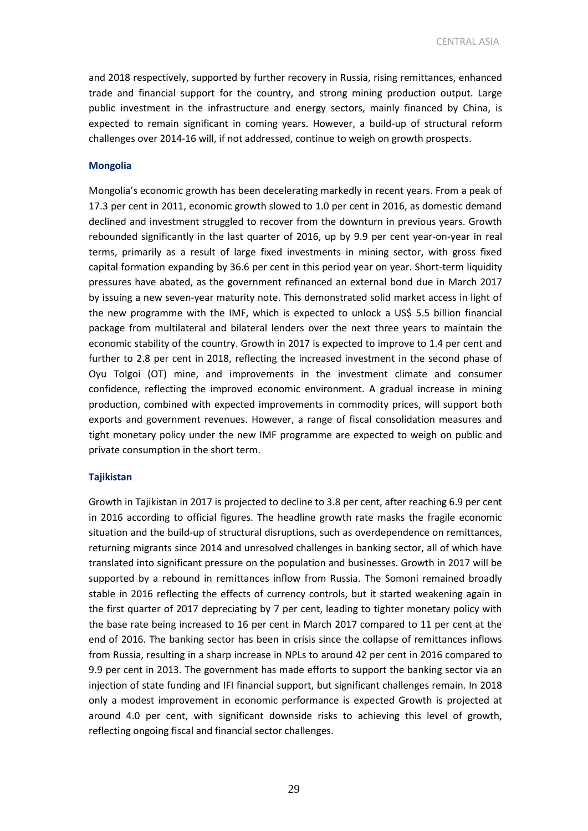CENTRAL ASIA

and 2018 respectively, supported by further recovery in Russia, rising remittances, enhanced trade and financial support for the country, and strong mining production output. Large public investment in the infrastructure and energy sectors, mainly financed by China, is expected to remain significant in coming years. However, a build-up of structural reform challenges over 2014-16 will, if not addressed, continue to weigh on growth prospects.

#### **Mongolia**

Mongolia's economic growth has been decelerating markedly in recent years. From a peak of 17.3 per cent in 2011, economic growth slowed to 1.0 per cent in 2016, as domestic demand declined and investment struggled to recover from the downturn in previous years. Growth rebounded significantly in the last quarter of 2016, up by 9.9 per cent year-on-year in real terms, primarily as a result of large fixed investments in mining sector, with gross fixed capital formation expanding by 36.6 per cent in this period year on year. Short-term liquidity pressures have abated, as the government refinanced an external bond due in March 2017 by issuing a new seven-year maturity note. This demonstrated solid market access in light of the new programme with the IMF, which is expected to unlock a US\$ 5.5 billion financial package from multilateral and bilateral lenders over the next three years to maintain the economic stability of the country. Growth in 2017 is expected to improve to 1.4 per cent and further to 2.8 per cent in 2018, reflecting the increased investment in the second phase of Oyu Tolgoi (OT) mine, and improvements in the investment climate and consumer confidence, reflecting the improved economic environment. A gradual increase in mining production, combined with expected improvements in commodity prices, will support both exports and government revenues. However, a range of fiscal consolidation measures and tight monetary policy under the new IMF programme are expected to weigh on public and private consumption in the short term.

#### **Tajikistan**

Growth in Tajikistan in 2017 is projected to decline to 3.8 per cent, after reaching 6.9 per cent in 2016 according to official figures. The headline growth rate masks the fragile economic situation and the build-up of structural disruptions, such as overdependence on remittances, returning migrants since 2014 and unresolved challenges in banking sector, all of which have translated into significant pressure on the population and businesses. Growth in 2017 will be supported by a rebound in remittances inflow from Russia. The Somoni remained broadly stable in 2016 reflecting the effects of currency controls, but it started weakening again in the first quarter of 2017 depreciating by 7 per cent, leading to tighter monetary policy with the base rate being increased to 16 per cent in March 2017 compared to 11 per cent at the end of 2016. The banking sector has been in crisis since the collapse of remittances inflows from Russia, resulting in a sharp increase in NPLs to around 42 per cent in 2016 compared to 9.9 per cent in 2013. The government has made efforts to support the banking sector via an injection of state funding and IFI financial support, but significant challenges remain. In 2018 only a modest improvement in economic performance is expected Growth is projected at around 4.0 per cent, with significant downside risks to achieving this level of growth, reflecting ongoing fiscal and financial sector challenges.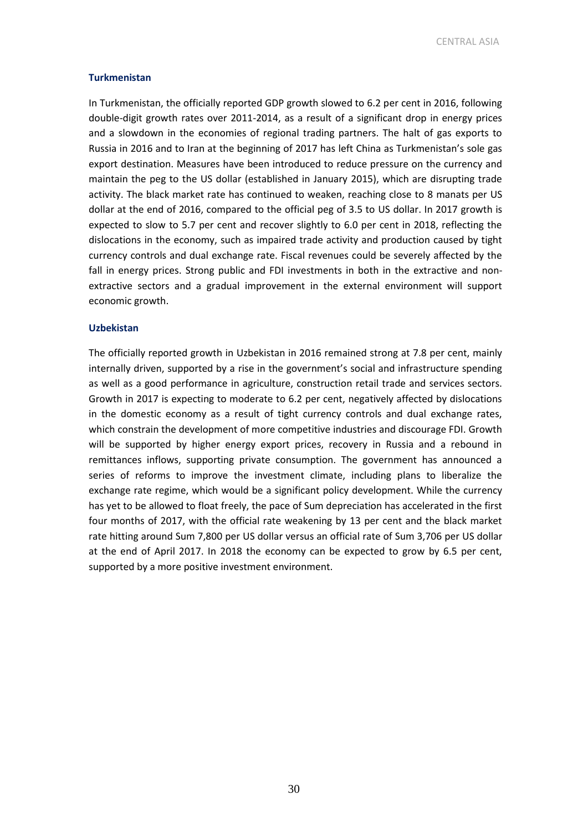CENTRAL ASIA

#### **Turkmenistan**

In Turkmenistan, the officially reported GDP growth slowed to 6.2 per cent in 2016, following double-digit growth rates over 2011-2014, as a result of a significant drop in energy prices and a slowdown in the economies of regional trading partners. The halt of gas exports to Russia in 2016 and to Iran at the beginning of 2017 has left China as Turkmenistan's sole gas export destination. Measures have been introduced to reduce pressure on the currency and maintain the peg to the US dollar (established in January 2015), which are disrupting trade activity. The black market rate has continued to weaken, reaching close to 8 manats per US dollar at the end of 2016, compared to the official peg of 3.5 to US dollar. In 2017 growth is expected to slow to 5.7 per cent and recover slightly to 6.0 per cent in 2018, reflecting the dislocations in the economy, such as impaired trade activity and production caused by tight currency controls and dual exchange rate. Fiscal revenues could be severely affected by the fall in energy prices. Strong public and FDI investments in both in the extractive and nonextractive sectors and a gradual improvement in the external environment will support economic growth.

#### **Uzbekistan**

The officially reported growth in Uzbekistan in 2016 remained strong at 7.8 per cent, mainly internally driven, supported by a rise in the government's social and infrastructure spending as well as a good performance in agriculture, construction retail trade and services sectors. Growth in 2017 is expecting to moderate to 6.2 per cent, negatively affected by dislocations in the domestic economy as a result of tight currency controls and dual exchange rates, which constrain the development of more competitive industries and discourage FDI. Growth will be supported by higher energy export prices, recovery in Russia and a rebound in remittances inflows, supporting private consumption. The government has announced a series of reforms to improve the investment climate, including plans to liberalize the exchange rate regime, which would be a significant policy development. While the currency has yet to be allowed to float freely, the pace of Sum depreciation has accelerated in the first four months of 2017, with the official rate weakening by 13 per cent and the black market rate hitting around Sum 7,800 per US dollar versus an official rate of Sum 3,706 per US dollar at the end of April 2017. In 2018 the economy can be expected to grow by 6.5 per cent, supported by a more positive investment environment.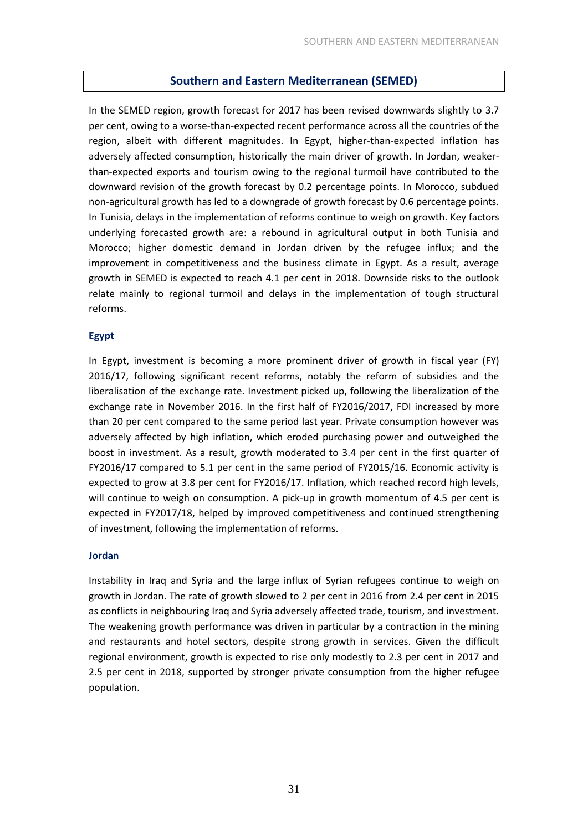#### **Southern and Eastern Mediterranean (SEMED)**

In the SEMED region, growth forecast for 2017 has been revised downwards slightly to 3.7 per cent, owing to a worse-than-expected recent performance across all the countries of the region, albeit with different magnitudes. In Egypt, higher-than-expected inflation has adversely affected consumption, historically the main driver of growth. In Jordan, weakerthan-expected exports and tourism owing to the regional turmoil have contributed to the downward revision of the growth forecast by 0.2 percentage points. In Morocco, subdued non-agricultural growth has led to a downgrade of growth forecast by 0.6 percentage points. In Tunisia, delays in the implementation of reforms continue to weigh on growth. Key factors underlying forecasted growth are: a rebound in agricultural output in both Tunisia and Morocco; higher domestic demand in Jordan driven by the refugee influx; and the improvement in competitiveness and the business climate in Egypt. As a result, average growth in SEMED is expected to reach 4.1 per cent in 2018. Downside risks to the outlook relate mainly to regional turmoil and delays in the implementation of tough structural reforms.

#### **Egypt**

In Egypt, investment is becoming a more prominent driver of growth in fiscal year (FY) 2016/17, following significant recent reforms, notably the reform of subsidies and the liberalisation of the exchange rate. Investment picked up, following the liberalization of the exchange rate in November 2016. In the first half of FY2016/2017, FDI increased by more than 20 per cent compared to the same period last year. Private consumption however was adversely affected by high inflation, which eroded purchasing power and outweighed the boost in investment. As a result, growth moderated to 3.4 per cent in the first quarter of FY2016/17 compared to 5.1 per cent in the same period of FY2015/16. Economic activity is expected to grow at 3.8 per cent for FY2016/17. Inflation, which reached record high levels, will continue to weigh on consumption. A pick-up in growth momentum of 4.5 per cent is expected in FY2017/18, helped by improved competitiveness and continued strengthening of investment, following the implementation of reforms.

#### **Jordan**

Instability in Iraq and Syria and the large influx of Syrian refugees continue to weigh on growth in Jordan. The rate of growth slowed to 2 per cent in 2016 from 2.4 per cent in 2015 as conflicts in neighbouring Iraq and Syria adversely affected trade, tourism, and investment. The weakening growth performance was driven in particular by a contraction in the mining and restaurants and hotel sectors, despite strong growth in services. Given the difficult regional environment, growth is expected to rise only modestly to 2.3 per cent in 2017 and 2.5 per cent in 2018, supported by stronger private consumption from the higher refugee population.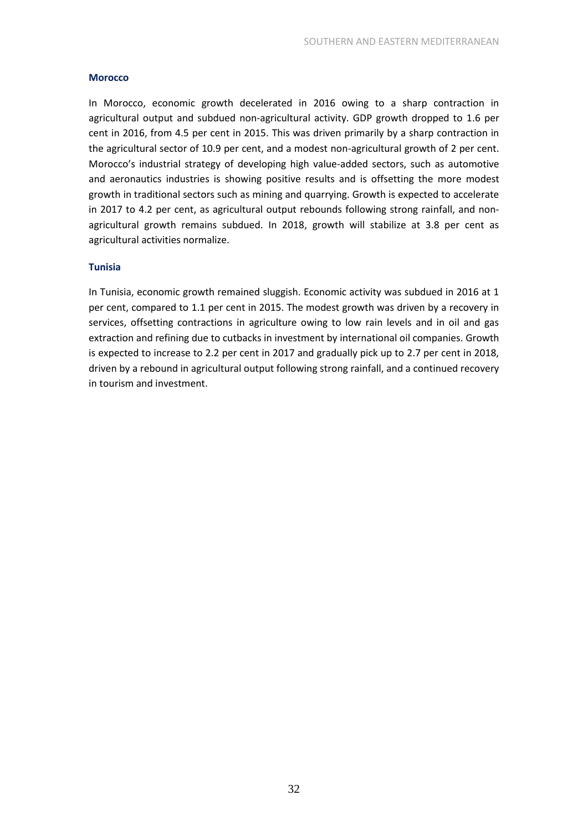#### **Morocco**

In Morocco, economic growth decelerated in 2016 owing to a sharp contraction in agricultural output and subdued non-agricultural activity. GDP growth dropped to 1.6 per cent in 2016, from 4.5 per cent in 2015. This was driven primarily by a sharp contraction in the agricultural sector of 10.9 per cent, and a modest non-agricultural growth of 2 per cent. Morocco's industrial strategy of developing high value-added sectors, such as automotive and aeronautics industries is showing positive results and is offsetting the more modest growth in traditional sectors such as mining and quarrying. Growth is expected to accelerate in 2017 to 4.2 per cent, as agricultural output rebounds following strong rainfall, and nonagricultural growth remains subdued. In 2018, growth will stabilize at 3.8 per cent as agricultural activities normalize.

#### **Tunisia**

In Tunisia, economic growth remained sluggish. Economic activity was subdued in 2016 at 1 per cent, compared to 1.1 per cent in 2015. The modest growth was driven by a recovery in services, offsetting contractions in agriculture owing to low rain levels and in oil and gas extraction and refining due to cutbacks in investment by international oil companies. Growth is expected to increase to 2.2 per cent in 2017 and gradually pick up to 2.7 per cent in 2018, driven by a rebound in agricultural output following strong rainfall, and a continued recovery in tourism and investment.